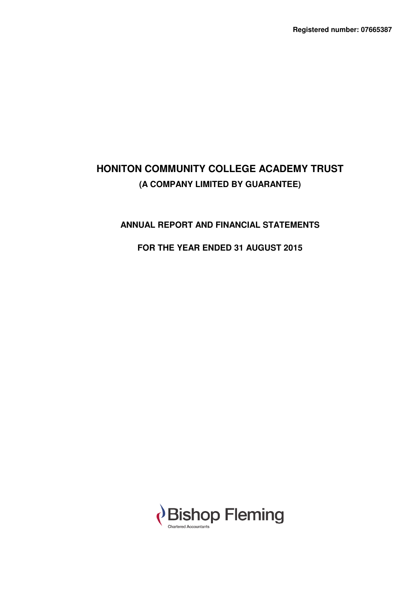# **ANNUAL REPORT AND FINANCIAL STATEMENTS**

# **FOR THE YEAR ENDED 31 AUGUST 2015**

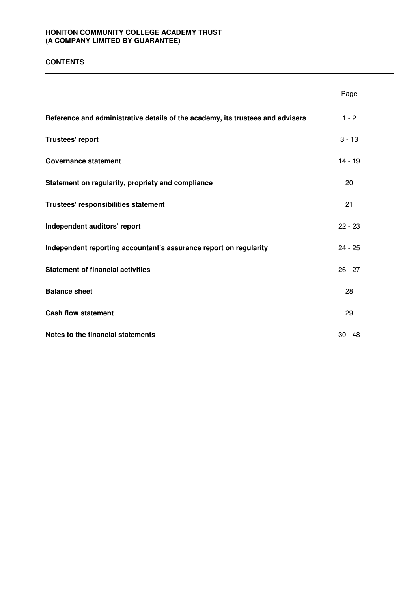# **CONTENTS**

|                                                                                | Page      |
|--------------------------------------------------------------------------------|-----------|
| Reference and administrative details of the academy, its trustees and advisers | $1 - 2$   |
| Trustees' report                                                               | $3 - 13$  |
| <b>Governance statement</b>                                                    | $14 - 19$ |
| Statement on regularity, propriety and compliance                              | 20        |
| Trustees' responsibilities statement                                           | 21        |
| Independent auditors' report                                                   | $22 - 23$ |
| Independent reporting accountant's assurance report on regularity              | $24 - 25$ |
| <b>Statement of financial activities</b>                                       | $26 - 27$ |
| <b>Balance sheet</b>                                                           | 28        |
| <b>Cash flow statement</b>                                                     | 29        |
| Notes to the financial statements                                              | $30 - 48$ |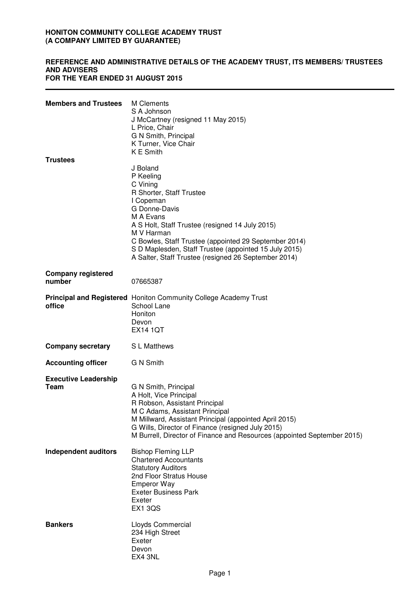## **REFERENCE AND ADMINISTRATIVE DETAILS OF THE ACADEMY TRUST, ITS MEMBERS/ TRUSTEES AND ADVISERS FOR THE YEAR ENDED 31 AUGUST 2015**

| <b>Members and Trustees</b>         | M Clements<br>S A Johnson<br>J McCartney (resigned 11 May 2015)<br>L Price, Chair<br>G N Smith, Principal<br>K Turner, Vice Chair<br><b>KE</b> Smith                                                                                                                                                                                                |
|-------------------------------------|-----------------------------------------------------------------------------------------------------------------------------------------------------------------------------------------------------------------------------------------------------------------------------------------------------------------------------------------------------|
| <b>Trustees</b>                     | J Boland<br>P Keeling<br>C Vining<br>R Shorter, Staff Trustee<br>I Copeman<br>G Donne-Davis<br>M A Evans<br>A S Holt, Staff Trustee (resigned 14 July 2015)<br>M V Harman<br>C Bowles, Staff Trustee (appointed 29 September 2014)<br>S D Maplesden, Staff Trustee (appointed 15 July 2015)<br>A Salter, Staff Trustee (resigned 26 September 2014) |
| <b>Company registered</b><br>number | 07665387                                                                                                                                                                                                                                                                                                                                            |
| office                              | <b>Principal and Registered</b> Honiton Community College Academy Trust<br>School Lane<br>Honiton<br>Devon<br><b>EX14 1QT</b>                                                                                                                                                                                                                       |
| <b>Company secretary</b>            | S L Matthews                                                                                                                                                                                                                                                                                                                                        |
| <b>Accounting officer</b>           | <b>G N Smith</b>                                                                                                                                                                                                                                                                                                                                    |
| <b>Executive Leadership</b><br>Team | G N Smith, Principal<br>A Holt, Vice Principal<br>R Robson, Assistant Principal<br>M C Adams, Assistant Principal<br>M Millward, Assistant Principal (appointed April 2015)<br>G Wills, Director of Finance (resigned July 2015)<br>M Burrell, Director of Finance and Resources (appointed September 2015)                                         |
| <b>Independent auditors</b>         | <b>Bishop Fleming LLP</b><br><b>Chartered Accountants</b><br><b>Statutory Auditors</b><br>2nd Floor Stratus House<br><b>Emperor Way</b><br><b>Exeter Business Park</b><br>Exeter<br><b>EX1 3QS</b>                                                                                                                                                  |
| <b>Bankers</b>                      | Lloyds Commercial<br>234 High Street<br>Exeter<br>Devon<br>EX4 3NL                                                                                                                                                                                                                                                                                  |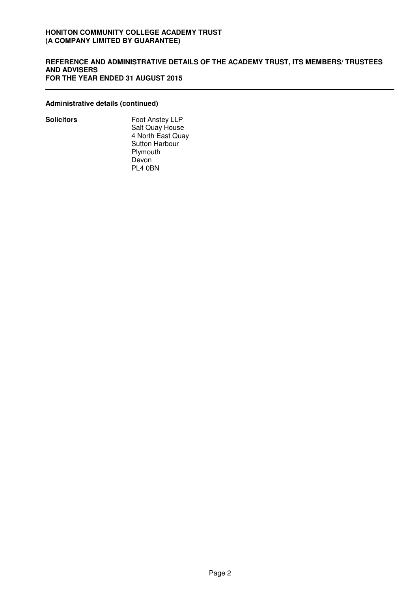#### **REFERENCE AND ADMINISTRATIVE DETAILS OF THE ACADEMY TRUST, ITS MEMBERS/ TRUSTEES AND ADVISERS FOR THE YEAR ENDED 31 AUGUST 2015**

## **Administrative details (continued)**

**Solicitors** Foot Anstey LLP Salt Quay House 4 North East Quay Sutton Harbour Plymouth Devon PL4 0BN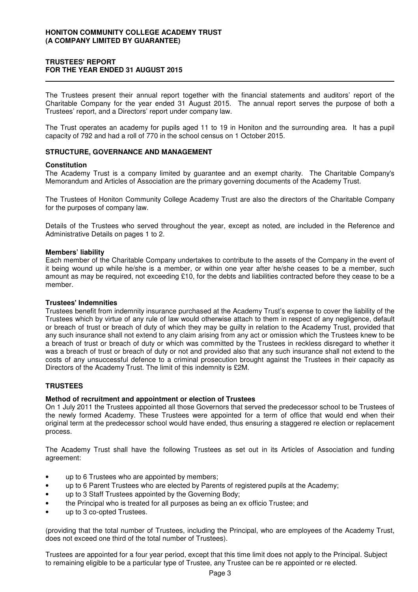# **TRUSTEES' REPORT FOR THE YEAR ENDED 31 AUGUST 2015**

The Trustees present their annual report together with the financial statements and auditors' report of the Charitable Company for the year ended 31 August 2015. The annual report serves the purpose of both a Trustees' report, and a Directors' report under company law.

The Trust operates an academy for pupils aged 11 to 19 in Honiton and the surrounding area. It has a pupil capacity of 792 and had a roll of 770 in the school census on 1 October 2015.

## **STRUCTURE, GOVERNANCE AND MANAGEMENT**

#### **Constitution**

The Academy Trust is a company limited by guarantee and an exempt charity. The Charitable Company's Memorandum and Articles of Association are the primary governing documents of the Academy Trust.

The Trustees of Honiton Community College Academy Trust are also the directors of the Charitable Company for the purposes of company law.

Details of the Trustees who served throughout the year, except as noted, are included in the Reference and Administrative Details on pages 1 to 2.

#### **Members' liability**

Each member of the Charitable Company undertakes to contribute to the assets of the Company in the event of it being wound up while he/she is a member, or within one year after he/she ceases to be a member, such amount as may be required, not exceeding £10, for the debts and liabilities contracted before they cease to be a member.

#### **Trustees' Indemnities**

Trustees benefit from indemnity insurance purchased at the Academy Trust's expense to cover the liability of the Trustees which by virtue of any rule of law would otherwise attach to them in respect of any negligence, default or breach of trust or breach of duty of which they may be guilty in relation to the Academy Trust, provided that any such insurance shall not extend to any claim arising from any act or omission which the Trustees knew to be a breach of trust or breach of duty or which was committed by the Trustees in reckless disregard to whether it was a breach of trust or breach of duty or not and provided also that any such insurance shall not extend to the costs of any unsuccessful defence to a criminal prosecution brought against the Trustees in their capacity as Directors of the Academy Trust. The limit of this indemnity is £2M.

#### **TRUSTEES**

#### **Method of recruitment and appointment or election of Trustees**

On 1 July 2011 the Trustees appointed all those Governors that served the predecessor school to be Trustees of the newly formed Academy. These Trustees were appointed for a term of office that would end when their original term at the predecessor school would have ended, thus ensuring a staggered re election or replacement process.

The Academy Trust shall have the following Trustees as set out in its Articles of Association and funding agreement:

- up to 6 Trustees who are appointed by members;
- up to 6 Parent Trustees who are elected by Parents of registered pupils at the Academy;
- up to 3 Staff Trustees appointed by the Governing Body;
- the Principal who is treated for all purposes as being an ex officio Trustee; and
- up to 3 co-opted Trustees.

(providing that the total number of Trustees, including the Principal, who are employees of the Academy Trust, does not exceed one third of the total number of Trustees).

Trustees are appointed for a four year period, except that this time limit does not apply to the Principal. Subject to remaining eligible to be a particular type of Trustee, any Trustee can be re appointed or re elected.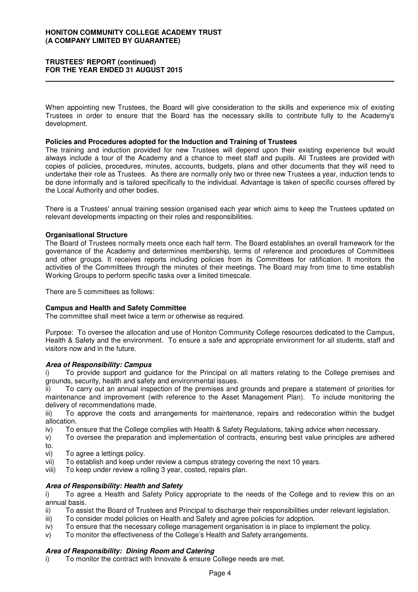## **TRUSTEES' REPORT (continued) FOR THE YEAR ENDED 31 AUGUST 2015**

When appointing new Trustees, the Board will give consideration to the skills and experience mix of existing Trustees in order to ensure that the Board has the necessary skills to contribute fully to the Academy's development.

#### **Policies and Procedures adopted for the Induction and Training of Trustees**

The training and induction provided for new Trustees will depend upon their existing experience but would always include a tour of the Academy and a chance to meet staff and pupils. All Trustees are provided with copies of policies, procedures, minutes, accounts, budgets, plans and other documents that they will need to undertake their role as Trustees. As there are normally only two or three new Trustees a year, induction tends to be done informally and is tailored specifically to the individual. Advantage is taken of specific courses offered by the Local Authority and other bodies.

There is a Trustees' annual training session organised each year which aims to keep the Trustees updated on relevant developments impacting on their roles and responsibilities.

#### **Organisational Structure**

The Board of Trustees normally meets once each half term. The Board establishes an overall framework for the governance of the Academy and determines membership, terms of reference and procedures of Committees and other groups. It receives reports including policies from its Committees for ratification. It monitors the activities of the Committees through the minutes of their meetings. The Board may from time to time establish Working Groups to perform specific tasks over a limited timescale.

There are 5 committees as follows:

#### **Campus and Health and Safety Committee**

The committee shall meet twice a term or otherwise as required.

Purpose: To oversee the allocation and use of Honiton Community College resources dedicated to the Campus, Health & Safety and the environment. To ensure a safe and appropriate environment for all students, staff and visitors now and in the future.

#### **Area of Responsibility: Campus**

To provide support and guidance for the Principal on all matters relating to the College premises and grounds, security, health and safety and environmental issues.

To carry out an annual inspection of the premises and grounds and prepare a statement of priorities for maintenance and improvement (with reference to the Asset Management Plan). To include monitoring the delivery of recommendations made.

iii) To approve the costs and arrangements for maintenance, repairs and redecoration within the budget allocation.

iv) To ensure that the College complies with Health & Safety Regulations, taking advice when necessary.

- v) To oversee the preparation and implementation of contracts, ensuring best value principles are adhered to.
- vi) To agree a lettings policy.
- vii) To establish and keep under review a campus strategy covering the next 10 years.
- viii) To keep under review a rolling 3 year, costed, repairs plan.

#### **Area of Responsibility: Health and Safety**

i) To agree a Health and Safety Policy appropriate to the needs of the College and to review this on an annual basis.

- ii) To assist the Board of Trustees and Principal to discharge their responsibilities under relevant legislation.
- iii) To consider model policies on Health and Safety and agree policies for adoption.
- iv) To ensure that the necessary college management organisation is in place to implement the policy.
- v) To monitor the effectiveness of the College's Health and Safety arrangements.

#### **Area of Responsibility: Dining Room and Catering**

i) To monitor the contract with Innovate & ensure College needs are met.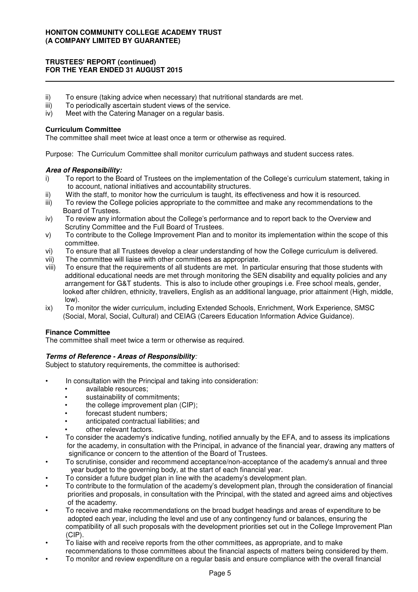# **TRUSTEES' REPORT (continued) FOR THE YEAR ENDED 31 AUGUST 2015**

- ii) To ensure (taking advice when necessary) that nutritional standards are met.<br>iii) To periodically ascertain student views of the service.
- To periodically ascertain student views of the service.
- iv) Meet with the Catering Manager on a regular basis.

## **Curriculum Committee**

The committee shall meet twice at least once a term or otherwise as required.

Purpose: The Curriculum Committee shall monitor curriculum pathways and student success rates.

## **Area of Responsibility:**

- i) To report to the Board of Trustees on the implementation of the College's curriculum statement, taking in to account, national initiatives and accountability structures.
- ii) With the staff, to monitor how the curriculum is taught, its effectiveness and how it is resourced.
- iii) To review the College policies appropriate to the committee and make any recommendations to the Board of Trustees.
- iv) To review any information about the College's performance and to report back to the Overview and Scrutiny Committee and the Full Board of Trustees.
- v) To contribute to the College Improvement Plan and to monitor its implementation within the scope of this committee.
- vi) To ensure that all Trustees develop a clear understanding of how the College curriculum is delivered.
- vii) The committee will liaise with other committees as appropriate.
- viii) To ensure that the requirements of all students are met. In particular ensuring that those students with additional educational needs are met through monitoring the SEN disability and equality policies and any arrangement for G&T students. This is also to include other groupings i.e. Free school meals, gender, looked after children, ethnicity, travellers, English as an additional language, prior attainment (High, middle, low).
- ix) To monitor the wider curriculum, including Extended Schools, Enrichment, Work Experience, SMSC (Social, Moral, Social, Cultural) and CEIAG (Careers Education Information Advice Guidance).

# **Finance Committee**

The committee shall meet twice a term or otherwise as required.

# **Terms of Reference - Areas of Responsibility**:

Subject to statutory requirements, the committee is authorised:

- In consultation with the Principal and taking into consideration:
	- available resources:
	- sustainability of commitments:
	- the college improvement plan (CIP);
	- forecast student numbers:
	- anticipated contractual liabilities; and
	- other relevant factors.
- To consider the academy's indicative funding, notified annually by the EFA, and to assess its implications for the academy, in consultation with the Principal, in advance of the financial year, drawing any matters of significance or concern to the attention of the Board of Trustees.
- To scrutinise, consider and recommend acceptance/non-acceptance of the academy's annual and three year budget to the governing body, at the start of each financial year.
	- To consider a future budget plan in line with the academy's development plan.
- To contribute to the formulation of the academy's development plan, through the consideration of financial priorities and proposals, in consultation with the Principal, with the stated and agreed aims and objectives of the academy.
- To receive and make recommendations on the broad budget headings and areas of expenditure to be adopted each year, including the level and use of any contingency fund or balances, ensuring the compatibility of all such proposals with the development priorities set out in the College Improvement Plan (CIP).
- To liaise with and receive reports from the other committees, as appropriate, and to make recommendations to those committees about the financial aspects of matters being considered by them.
- To monitor and review expenditure on a regular basis and ensure compliance with the overall financial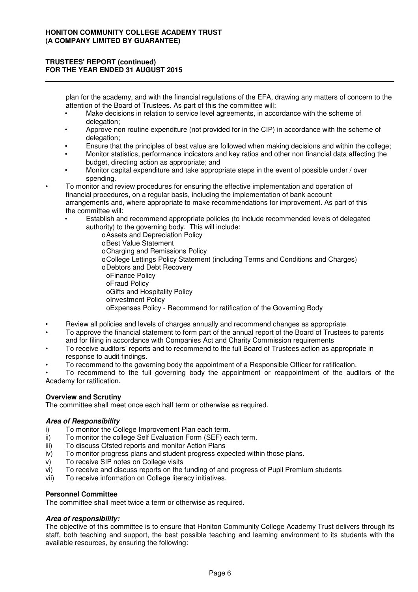# **TRUSTEES' REPORT (continued) FOR THE YEAR ENDED 31 AUGUST 2015**

plan for the academy, and with the financial regulations of the EFA, drawing any matters of concern to the attention of the Board of Trustees. As part of this the committee will:

- Make decisions in relation to service level agreements, in accordance with the scheme of delegation:
- Approve non routine expenditure (not provided for in the CIP) in accordance with the scheme of delegation;
- Ensure that the principles of best value are followed when making decisions and within the college;
- Monitor statistics, performance indicators and key ratios and other non financial data affecting the budget, directing action as appropriate; and
- Monitor capital expenditure and take appropriate steps in the event of possible under / over spending.
- To monitor and review procedures for ensuring the effective implementation and operation of financial procedures, on a regular basis, including the implementation of bank account arrangements and, where appropriate to make recommendations for improvement. As part of this the committee will:
	- Establish and recommend appropriate policies (to include recommended levels of delegated authority) to the governing body. This will include:
		- oAssets and Depreciation Policy
		- oBest Value Statement
		- oCharging and Remissions Policy
		- oCollege Lettings Policy Statement (including Terms and Conditions and Charges)
		- oDebtors and Debt Recovery
		- oFinance Policy
		- oFraud Policy
		- oGifts and Hospitality Policy
		- oInvestment Policy
		- oExpenses Policy Recommend for ratification of the Governing Body
- Review all policies and levels of charges annually and recommend changes as appropriate.
- To approve the financial statement to form part of the annual report of the Board of Trustees to parents and for filing in accordance with Companies Act and Charity Commission requirements
- To receive auditors' reports and to recommend to the full Board of Trustees action as appropriate in response to audit findings.
- To recommend to the governing body the appointment of a Responsible Officer for ratification.

• To recommend to the full governing body the appointment or reappointment of the auditors of the Academy for ratification.

# **Overview and Scrutiny**

The committee shall meet once each half term or otherwise as required.

#### **Area of Responsibility**

- i) To monitor the College Improvement Plan each term.
- ii) To monitor the college Self Evaluation Form (SEF) each term.
- iii) To discuss Ofsted reports and monitor Action Plans
- iv) To monitor progress plans and student progress expected within those plans.
- v) To receive SIP notes on College visits
- vi) To receive and discuss reports on the funding of and progress of Pupil Premium students
- vii) To receive information on College literacy initiatives.

# **Personnel Committee**

The committee shall meet twice a term or otherwise as required.

# **Area of responsibility:**

The objective of this committee is to ensure that Honiton Community College Academy Trust delivers through its staff, both teaching and support, the best possible teaching and learning environment to its students with the available resources, by ensuring the following: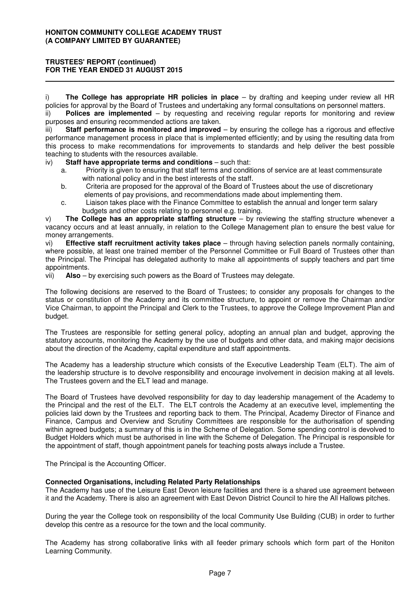# **TRUSTEES' REPORT (continued) FOR THE YEAR ENDED 31 AUGUST 2015**

i) **The College has appropriate HR policies in place** – by drafting and keeping under review all HR policies for approval by the Board of Trustees and undertaking any formal consultations on personnel matters.

ii) **Polices are implemented** – by requesting and receiving regular reports for monitoring and review purposes and ensuring recommended actions are taken.

iii) **Staff performance is monitored and improved** – by ensuring the college has a rigorous and effective performance management process in place that is implemented efficiently; and by using the resulting data from this process to make recommendations for improvements to standards and help deliver the best possible teaching to students with the resources available.

iv) **Staff have appropriate terms and conditions** – such that:

- a. Priority is given to ensuring that staff terms and conditions of service are at least commensurate with national policy and in the best interests of the staff.
- b. Criteria are proposed for the approval of the Board of Trustees about the use of discretionary elements of pay provisions, and recommendations made about implementing them.
- c. Liaison takes place with the Finance Committee to establish the annual and longer term salary budgets and other costs relating to personnel e.g. training.

v) **The College has an appropriate staffing structure** – by reviewing the staffing structure whenever a vacancy occurs and at least annually, in relation to the College Management plan to ensure the best value for money arrangements.

vi) **Effective staff recruitment activity takes place** – through having selection panels normally containing, where possible, at least one trained member of the Personnel Committee or Full Board of Trustees other than the Principal. The Principal has delegated authority to make all appointments of supply teachers and part time appointments.

vii) **Also** – by exercising such powers as the Board of Trustees may delegate.

The following decisions are reserved to the Board of Trustees; to consider any proposals for changes to the status or constitution of the Academy and its committee structure, to appoint or remove the Chairman and/or Vice Chairman, to appoint the Principal and Clerk to the Trustees, to approve the College Improvement Plan and budget.

The Trustees are responsible for setting general policy, adopting an annual plan and budget, approving the statutory accounts, monitoring the Academy by the use of budgets and other data, and making major decisions about the direction of the Academy, capital expenditure and staff appointments.

The Academy has a leadership structure which consists of the Executive Leadership Team (ELT). The aim of the leadership structure is to devolve responsibility and encourage involvement in decision making at all levels. The Trustees govern and the ELT lead and manage.

The Board of Trustees have devolved responsibility for day to day leadership management of the Academy to the Principal and the rest of the ELT. The ELT controls the Academy at an executive level, implementing the policies laid down by the Trustees and reporting back to them. The Principal, Academy Director of Finance and Finance, Campus and Overview and Scrutiny Committees are responsible for the authorisation of spending within agreed budgets; a summary of this is in the Scheme of Delegation. Some spending control is devolved to Budget Holders which must be authorised in line with the Scheme of Delegation. The Principal is responsible for the appointment of staff, though appointment panels for teaching posts always include a Trustee.

The Principal is the Accounting Officer.

# **Connected Organisations, including Related Party Relationships**

The Academy has use of the Leisure East Devon leisure facilities and there is a shared use agreement between it and the Academy. There is also an agreement with East Devon District Council to hire the All Hallows pitches.

During the year the College took on responsibility of the local Community Use Building (CUB) in order to further develop this centre as a resource for the town and the local community.

The Academy has strong collaborative links with all feeder primary schools which form part of the Honiton Learning Community.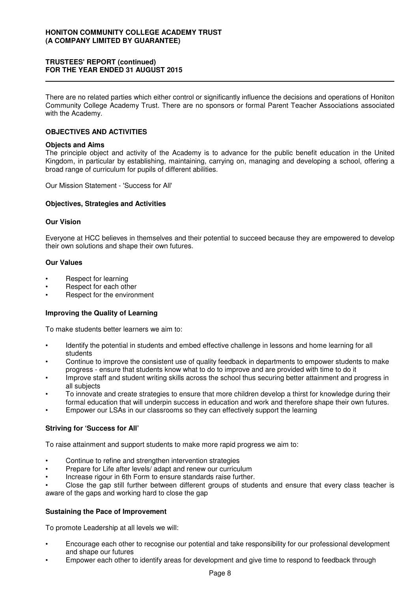## **TRUSTEES' REPORT (continued) FOR THE YEAR ENDED 31 AUGUST 2015**

There are no related parties which either control or significantly influence the decisions and operations of Honiton Community College Academy Trust. There are no sponsors or formal Parent Teacher Associations associated with the Academy.

## **OBJECTIVES AND ACTIVITIES**

#### **Objects and Aims**

The principle object and activity of the Academy is to advance for the public benefit education in the United Kingdom, in particular by establishing, maintaining, carrying on, managing and developing a school, offering a broad range of curriculum for pupils of different abilities.

Our Mission Statement - 'Success for All'

#### **Objectives, Strategies and Activities**

### **Our Vision**

Everyone at HCC believes in themselves and their potential to succeed because they are empowered to develop their own solutions and shape their own futures.

#### **Our Values**

- Respect for learning
- Respect for each other
- Respect for the environment

# **Improving the Quality of Learning**

To make students better learners we aim to:

- Identify the potential in students and embed effective challenge in lessons and home learning for all students
- Continue to improve the consistent use of quality feedback in departments to empower students to make progress - ensure that students know what to do to improve and are provided with time to do it
- Improve staff and student writing skills across the school thus securing better attainment and progress in all subjects
- To innovate and create strategies to ensure that more children develop a thirst for knowledge during their formal education that will underpin success in education and work and therefore shape their own futures.
- Empower our LSAs in our classrooms so they can effectively support the learning

# **Striving for 'Success for All'**

To raise attainment and support students to make more rapid progress we aim to:

- Continue to refine and strengthen intervention strategies
- Prepare for Life after levels/ adapt and renew our curriculum
- Increase rigour in 6th Form to ensure standards raise further.

• Close the gap still further between different groups of students and ensure that every class teacher is aware of the gaps and working hard to close the gap

#### **Sustaining the Pace of Improvement**

To promote Leadership at all levels we will:

- Encourage each other to recognise our potential and take responsibility for our professional development and shape our futures
- Empower each other to identify areas for development and give time to respond to feedback through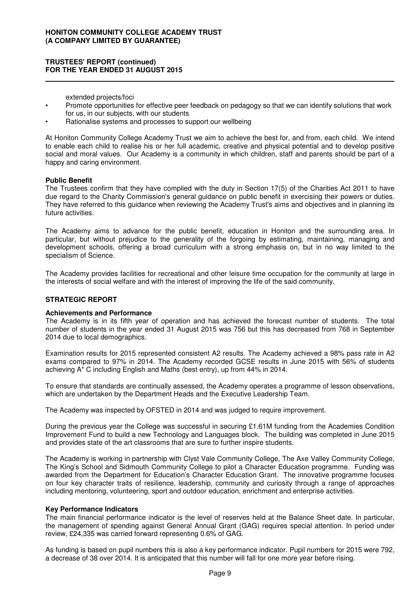## **TRUSTEES' REPORT (continued) FOR THE YEAR ENDED 31 AUGUST 2015**

extended projects/foci

- Promote opportunities for effective peer feedback on pedagogy so that we can identify solutions that work for us, in our subjects, with our students
- Rationalise systems and processes to support our wellbeing

At Honiton Community College Academy Trust we aim to achieve the best for, and from, each child. We intend to enable each child to realise his or her full academic, creative and physical potential and to develop positive social and moral values. Our Academy is a community in which children, staff and parents should be part of a happy and caring environment.

## **Public Benefit**

The Trustees confirm that they have complied with the duty in Section 17(5) of the Charities Act 2011 to have due regard to the Charity Commission's general guidance on public benefit in exercising their powers or duties. They have referred to this guidance when reviewing the Academy Trust's aims and objectives and in planning its future activities.

The Academy aims to advance for the public benefit, education in Honiton and the surrounding area. In particular, but without prejudice to the generality of the forgoing by estimating, maintaining, managing and development schools, offering a broad curriculum with a strong emphasis on, but in no way limited to the specialism of Science.

The Academy provides facilities for recreational and other leisure time occupation for the community at large in the interests of social welfare and with the interest of improving the life of the said community.

# **STRATEGIC REPORT**

#### **Achievements and Performance**

The Academy is in its fifth year of operation and has achieved the forecast number of students. The total number of students in the year ended 31 August 2015 was 756 but this has decreased from 768 in September 2014 due to local demographics.

Examination results for 2015 represented consistent A2 results. The Academy achieved a 98% pass rate in A2 exams compared to 97% in 2014. The Academy recorded GCSE results in June 2015 with 56% of students achieving A\* C including English and Maths (best entry), up from 44% in 2014.

To ensure that standards are continually assessed, the Academy operates a programme of lesson observations, which are undertaken by the Department Heads and the Executive Leadership Team.

The Academy was inspected by OFSTED in 2014 and was judged to require improvement.

During the previous year the College was successful in securing £1.61M funding from the Academies Condition Improvement Fund to build a new Technology and Languages block. The building was completed in June 2015 and provides state of the art classrooms that are sure to further inspire students.

The Academy is working in partnership with Clyst Vale Community College, The Axe Valley Community College, The King's School and Sidmouth Community College to pilot a Character Education programme. Funding was awarded from the Department for Education's Character Education Grant. The innovative programme focuses on four key character traits of resilience, leadership, community and curiosity through a range of approaches including mentoring, volunteering, sport and outdoor education, enrichment and enterprise activities.

#### **Key Performance Indicators**

The main financial performance indicator is the level of reserves held at the Balance Sheet date. In particular, the management of spending against General Annual Grant (GAG) requires special attention. In period under review, £24,335 was carried forward representing 0.6% of GAG.

As funding is based on pupil numbers this is also a key performance indicator. Pupil numbers for 2015 were 792, a decrease of 38 over 2014. It is anticipated that this number will fall for one more year before rising.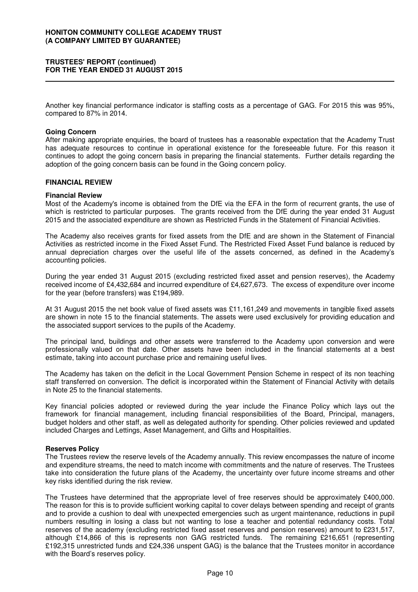## **TRUSTEES' REPORT (continued) FOR THE YEAR ENDED 31 AUGUST 2015**

Another key financial performance indicator is staffing costs as a percentage of GAG. For 2015 this was 95%, compared to 87% in 2014.

#### **Going Concern**

After making appropriate enquiries, the board of trustees has a reasonable expectation that the Academy Trust has adequate resources to continue in operational existence for the foreseeable future. For this reason it continues to adopt the going concern basis in preparing the financial statements. Further details regarding the adoption of the going concern basis can be found in the Going concern policy.

## **FINANCIAL REVIEW**

## **Financial Review**

Most of the Academy's income is obtained from the DfE via the EFA in the form of recurrent grants, the use of which is restricted to particular purposes. The grants received from the DfE during the year ended 31 August 2015 and the associated expenditure are shown as Restricted Funds in the Statement of Financial Activities.

The Academy also receives grants for fixed assets from the DfE and are shown in the Statement of Financial Activities as restricted income in the Fixed Asset Fund. The Restricted Fixed Asset Fund balance is reduced by annual depreciation charges over the useful life of the assets concerned, as defined in the Academy's accounting policies.

During the year ended 31 August 2015 (excluding restricted fixed asset and pension reserves), the Academy received income of £4,432,684 and incurred expenditure of £4,627,673. The excess of expenditure over income for the year (before transfers) was £194,989.

At 31 August 2015 the net book value of fixed assets was £11,161,249 and movements in tangible fixed assets are shown in note 15 to the financial statements. The assets were used exclusively for providing education and the associated support services to the pupils of the Academy.

The principal land, buildings and other assets were transferred to the Academy upon conversion and were professionally valued on that date. Other assets have been included in the financial statements at a best estimate, taking into account purchase price and remaining useful lives.

The Academy has taken on the deficit in the Local Government Pension Scheme in respect of its non teaching staff transferred on conversion. The deficit is incorporated within the Statement of Financial Activity with details in Note 25 to the financial statements.

Key financial policies adopted or reviewed during the year include the Finance Policy which lays out the framework for financial management, including financial responsibilities of the Board, Principal, managers, budget holders and other staff, as well as delegated authority for spending. Other policies reviewed and updated included Charges and Lettings, Asset Management, and Gifts and Hospitalities.

#### **Reserves Policy**

The Trustees review the reserve levels of the Academy annually. This review encompasses the nature of income and expenditure streams, the need to match income with commitments and the nature of reserves. The Trustees take into consideration the future plans of the Academy, the uncertainty over future income streams and other key risks identified during the risk review.

The Trustees have determined that the appropriate level of free reserves should be approximately £400,000. The reason for this is to provide sufficient working capital to cover delays between spending and receipt of grants and to provide a cushion to deal with unexpected emergencies such as urgent maintenance, reductions in pupil numbers resulting in losing a class but not wanting to lose a teacher and potential redundancy costs. Total reserves of the academy (excluding restricted fixed asset reserves and pension reserves) amount to £231,517, although £14,866 of this is represents non GAG restricted funds. The remaining £216,651 (representing £192,315 unrestricted funds and £24,336 unspent GAG) is the balance that the Trustees monitor in accordance with the Board's reserves policy.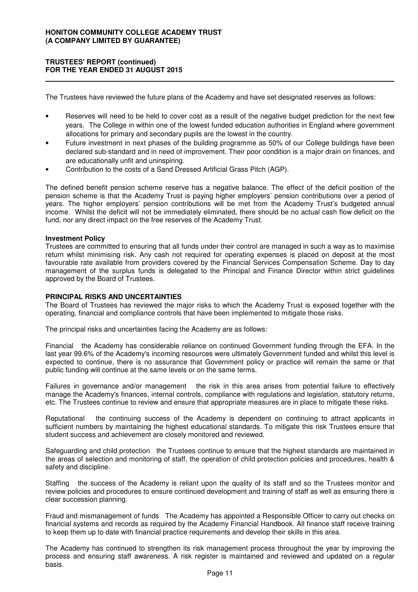# **TRUSTEES' REPORT (continued) FOR THE YEAR ENDED 31 AUGUST 2015**

The Trustees have reviewed the future plans of the Academy and have set designated reserves as follows:

- Reserves will need to be held to cover cost as a result of the negative budget prediction for the next few years. The College in within one of the lowest funded education authorities in England where government allocations for primary and secondary pupils are the lowest in the country.
- Future investment in next phases of the building programme as 50% of our College buildings have been declared sub-standard and in need of improvement. Their poor condition is a major drain on finances, and are educationally unfit and uninspiring.
- Contribution to the costs of a Sand Dressed Artificial Grass Pitch (AGP).

The defined benefit pension scheme reserve has a negative balance. The effect of the deficit position of the pension scheme is that the Academy Trust is paying higher employers' pension contributions over a period of years. The higher employers' pension contributions will be met from the Academy Trust's budgeted annual income. Whilst the deficit will not be immediately eliminated, there should be no actual cash flow deficit on the fund, nor any direct impact on the free reserves of the Academy Trust.

## **Investment Policy**

Trustees are committed to ensuring that all funds under their control are managed in such a way as to maximise return whilst minimising risk. Any cash not required for operating expenses is placed on deposit at the most favourable rate available from providers covered by the Financial Services Compensation Scheme. Day to day management of the surplus funds is delegated to the Principal and Finance Director within strict guidelines approved by the Board of Trustees.

## **PRINCIPAL RISKS AND UNCERTAINTIES**

The Board of Trustees has reviewed the major risks to which the Academy Trust is exposed together with the operating, financial and compliance controls that have been implemented to mitigate those risks.

The principal risks and uncertainties facing the Academy are as follows:

Financial the Academy has considerable reliance on continued Government funding through the EFA. In the last year 99.6% of the Academy's incoming resources were ultimately Government funded and whilst this level is expected to continue, there is no assurance that Government policy or practice will remain the same or that public funding will continue at the same levels or on the same terms.

Failures in governance and/or management the risk in this area arises from potential failure to effectively manage the Academy's finances, internal controls, compliance with regulations and legislation, statutory returns, etc. The Trustees continue to review and ensure that appropriate measures are in place to mitigate these risks.

Reputational the continuing success of the Academy is dependent on continuing to attract applicants in sufficient numbers by maintaining the highest educational standards. To mitigate this risk Trustees ensure that student success and achievement are closely monitored and reviewed.

Safeguarding and child protection the Trustees continue to ensure that the highest standards are maintained in the areas of selection and monitoring of staff, the operation of child protection policies and procedures, health & safety and discipline.

Staffing the success of the Academy is reliant upon the quality of its staff and so the Trustees monitor and review policies and procedures to ensure continued development and training of staff as well as ensuring there is clear succession planning.

Fraud and mismanagement of funds The Academy has appointed a Responsible Officer to carry out checks on financial systems and records as required by the Academy Financial Handbook. All finance staff receive training to keep them up to date with financial practice requirements and develop their skills in this area.

The Academy has continued to strengthen its risk management process throughout the year by improving the process and ensuring staff awareness. A risk register is maintained and reviewed and updated on a regular basis.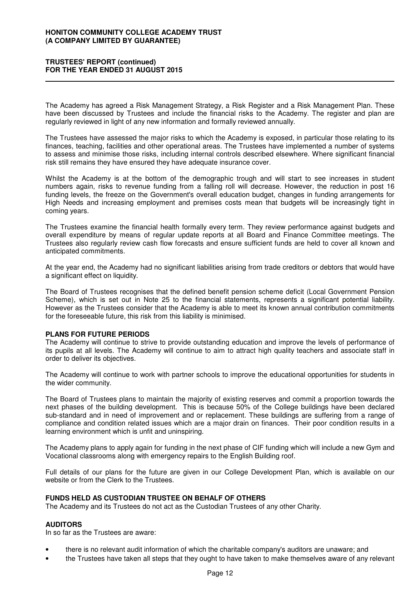## **TRUSTEES' REPORT (continued) FOR THE YEAR ENDED 31 AUGUST 2015**

The Academy has agreed a Risk Management Strategy, a Risk Register and a Risk Management Plan. These have been discussed by Trustees and include the financial risks to the Academy. The register and plan are regularly reviewed in light of any new information and formally reviewed annually.

The Trustees have assessed the major risks to which the Academy is exposed, in particular those relating to its finances, teaching, facilities and other operational areas. The Trustees have implemented a number of systems to assess and minimise those risks, including internal controls described elsewhere. Where significant financial risk still remains they have ensured they have adequate insurance cover.

Whilst the Academy is at the bottom of the demographic trough and will start to see increases in student numbers again, risks to revenue funding from a falling roll will decrease. However, the reduction in post 16 funding levels, the freeze on the Government's overall education budget, changes in funding arrangements for High Needs and increasing employment and premises costs mean that budgets will be increasingly tight in coming years.

The Trustees examine the financial health formally every term. They review performance against budgets and overall expenditure by means of regular update reports at all Board and Finance Committee meetings. The Trustees also regularly review cash flow forecasts and ensure sufficient funds are held to cover all known and anticipated commitments.

At the year end, the Academy had no significant liabilities arising from trade creditors or debtors that would have a significant effect on liquidity.

The Board of Trustees recognises that the defined benefit pension scheme deficit (Local Government Pension Scheme), which is set out in Note 25 to the financial statements, represents a significant potential liability. However as the Trustees consider that the Academy is able to meet its known annual contribution commitments for the foreseeable future, this risk from this liability is minimised.

# **PLANS FOR FUTURE PERIODS**

The Academy will continue to strive to provide outstanding education and improve the levels of performance of its pupils at all levels. The Academy will continue to aim to attract high quality teachers and associate staff in order to deliver its objectives.

The Academy will continue to work with partner schools to improve the educational opportunities for students in the wider community.

The Board of Trustees plans to maintain the majority of existing reserves and commit a proportion towards the next phases of the building development. This is because 50% of the College buildings have been declared sub-standard and in need of improvement and or replacement. These buildings are suffering from a range of compliance and condition related issues which are a major drain on finances. Their poor condition results in a learning environment which is unfit and uninspiring.

The Academy plans to apply again for funding in the next phase of CIF funding which will include a new Gym and Vocational classrooms along with emergency repairs to the English Building roof.

Full details of our plans for the future are given in our College Development Plan, which is available on our website or from the Clerk to the Trustees.

#### **FUNDS HELD AS CUSTODIAN TRUSTEE ON BEHALF OF OTHERS**

The Academy and its Trustees do not act as the Custodian Trustees of any other Charity.

# **AUDITORS**

In so far as the Trustees are aware:

- there is no relevant audit information of which the charitable company's auditors are unaware; and
- the Trustees have taken all steps that they ought to have taken to make themselves aware of any relevant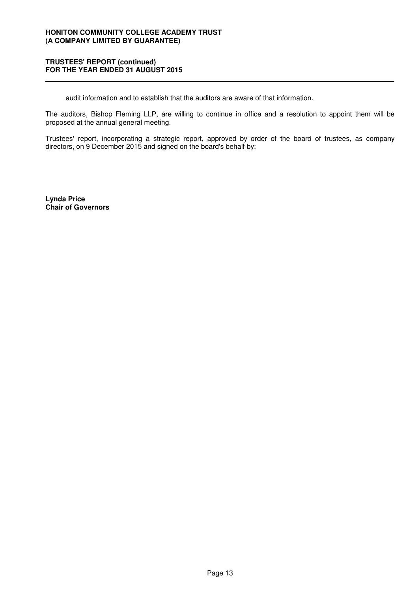## **TRUSTEES' REPORT (continued) FOR THE YEAR ENDED 31 AUGUST 2015**

audit information and to establish that the auditors are aware of that information.

The auditors, Bishop Fleming LLP, are willing to continue in office and a resolution to appoint them will be proposed at the annual general meeting.

Trustees' report, incorporating a strategic report, approved by order of the board of trustees, as company directors, on 9 December 2015 and signed on the board's behalf by:

**Lynda Price Chair of Governors**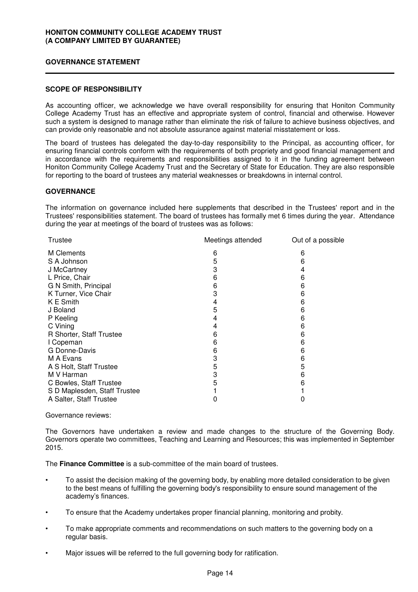## **GOVERNANCE STATEMENT**

## **SCOPE OF RESPONSIBILITY**

As accounting officer, we acknowledge we have overall responsibility for ensuring that Honiton Community College Academy Trust has an effective and appropriate system of control, financial and otherwise. However such a system is designed to manage rather than eliminate the risk of failure to achieve business objectives, and can provide only reasonable and not absolute assurance against material misstatement or loss.

The board of trustees has delegated the day-to-day responsibility to the Principal, as accounting officer, for ensuring financial controls conform with the requirements of both propriety and good financial management and in accordance with the requirements and responsibilities assigned to it in the funding agreement between Honiton Community College Academy Trust and the Secretary of State for Education. They are also responsible for reporting to the board of trustees any material weaknesses or breakdowns in internal control.

## **GOVERNANCE**

The information on governance included here supplements that described in the Trustees' report and in the Trustees' responsibilities statement. The board of trustees has formally met 6 times during the year. Attendance during the year at meetings of the board of trustees was as follows:

| Trustee                      | Meetings attended | Out of a possible |
|------------------------------|-------------------|-------------------|
| M Clements                   | 6                 | 6                 |
| S A Johnson                  | 5                 | 6                 |
| J McCartney                  | 3                 | 4                 |
| L Price, Chair               | 6                 | 6                 |
| G N Smith, Principal         | 6                 | 6                 |
| K Turner, Vice Chair         | 3                 | 6                 |
| K E Smith                    | 4                 | 6                 |
| J Boland                     | 5                 | 6                 |
| P Keeling                    | 4                 | 6                 |
| C Vining                     | 4                 | 6                 |
| R Shorter, Staff Trustee     | 6                 | 6                 |
| I Copeman                    | 6                 | 6                 |
| G Donne-Davis                | 6                 | 6                 |
| M A Evans                    | 3                 | 6                 |
| A S Holt, Staff Trustee      | 5                 | 5                 |
| M V Harman                   | 3                 | 6                 |
| C Bowles, Staff Trustee      | 5                 | 6                 |
| S D Maplesden, Staff Trustee |                   |                   |
| A Salter, Staff Trustee      |                   |                   |
|                              |                   |                   |

## Governance reviews:

The Governors have undertaken a review and made changes to the structure of the Governing Body. Governors operate two committees, Teaching and Learning and Resources; this was implemented in September 2015.

The **Finance Committee** is a sub-committee of the main board of trustees.

- To assist the decision making of the governing body, by enabling more detailed consideration to be given to the best means of fulfilling the governing body's responsibility to ensure sound management of the academy's finances.
- To ensure that the Academy undertakes proper financial planning, monitoring and probity.
- To make appropriate comments and recommendations on such matters to the governing body on a regular basis.
- Major issues will be referred to the full governing body for ratification.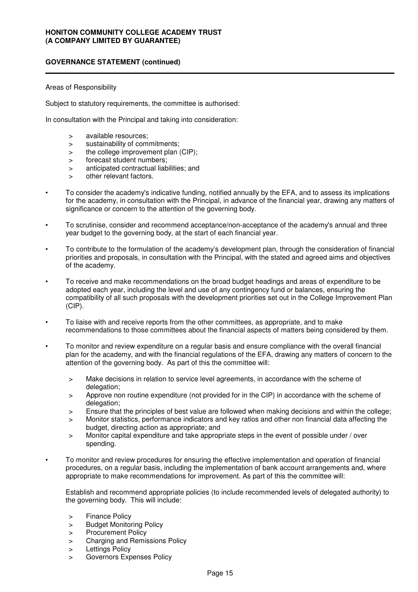## Areas of Responsibility

Subject to statutory requirements, the committee is authorised:

In consultation with the Principal and taking into consideration:

- > available resources;
- > sustainability of commitments;
- > the college improvement plan (CIP):
- > forecast student numbers;
- > anticipated contractual liabilities; and
- > other relevant factors.
- To consider the academy's indicative funding, notified annually by the EFA, and to assess its implications for the academy, in consultation with the Principal, in advance of the financial year, drawing any matters of significance or concern to the attention of the governing body.
- To scrutinise, consider and recommend acceptance/non-acceptance of the academy's annual and three year budget to the governing body, at the start of each financial year.
- To contribute to the formulation of the academy's development plan, through the consideration of financial priorities and proposals, in consultation with the Principal, with the stated and agreed aims and objectives of the academy.
- To receive and make recommendations on the broad budget headings and areas of expenditure to be adopted each year, including the level and use of any contingency fund or balances, ensuring the compatibility of all such proposals with the development priorities set out in the College Improvement Plan (CIP).
- To liaise with and receive reports from the other committees, as appropriate, and to make recommendations to those committees about the financial aspects of matters being considered by them.
- To monitor and review expenditure on a regular basis and ensure compliance with the overall financial plan for the academy, and with the financial regulations of the EFA, drawing any matters of concern to the attention of the governing body. As part of this the committee will:
	- > Make decisions in relation to service level agreements, in accordance with the scheme of delegation:
	- > Approve non routine expenditure (not provided for in the CIP) in accordance with the scheme of delegation:
	- > Ensure that the principles of best value are followed when making decisions and within the college;
	- > Monitor statistics, performance indicators and key ratios and other non financial data affecting the budget, directing action as appropriate; and
	- > Monitor capital expenditure and take appropriate steps in the event of possible under / over spending.
- To monitor and review procedures for ensuring the effective implementation and operation of financial procedures, on a regular basis, including the implementation of bank account arrangements and, where appropriate to make recommendations for improvement. As part of this the committee will:

Establish and recommend appropriate policies (to include recommended levels of delegated authority) to the governing body. This will include:

- > Finance Policy
- > Budget Monitoring Policy
- > Procurement Policy
- > Charging and Remissions Policy
- > Lettings Policy
- > Governors Expenses Policy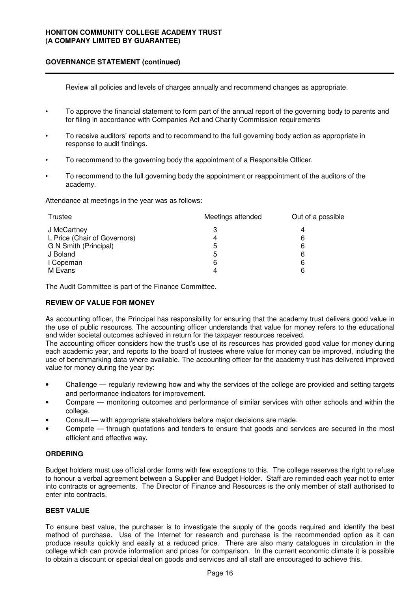Review all policies and levels of charges annually and recommend changes as appropriate.

- To approve the financial statement to form part of the annual report of the governing body to parents and for filing in accordance with Companies Act and Charity Commission requirements
- To receive auditors' reports and to recommend to the full governing body action as appropriate in response to audit findings.
- To recommend to the governing body the appointment of a Responsible Officer.
- To recommend to the full governing body the appointment or reappointment of the auditors of the academy.

Attendance at meetings in the year was as follows:

| Trustee                      | Meetings attended | Out of a possible |  |
|------------------------------|-------------------|-------------------|--|
| J McCartney                  |                   |                   |  |
| L Price (Chair of Governors) | 4                 | 6                 |  |
| G N Smith (Principal)        | 5                 | 6                 |  |
| J Boland                     | 5                 | 6                 |  |
| I Copeman                    | 6                 | 6                 |  |
| M Evans                      |                   |                   |  |

The Audit Committee is part of the Finance Committee.

# **REVIEW OF VALUE FOR MONEY**

As accounting officer, the Principal has responsibility for ensuring that the academy trust delivers good value in the use of public resources. The accounting officer understands that value for money refers to the educational and wider societal outcomes achieved in return for the taxpayer resources received.

The accounting officer considers how the trust's use of its resources has provided good value for money during each academic year, and reports to the board of trustees where value for money can be improved, including the use of benchmarking data where available. The accounting officer for the academy trust has delivered improved value for money during the year by:

- Challenge regularly reviewing how and why the services of the college are provided and setting targets and performance indicators for improvement.
- Compare monitoring outcomes and performance of similar services with other schools and within the college.
- Consult with appropriate stakeholders before major decisions are made.
- Compete through quotations and tenders to ensure that goods and services are secured in the most efficient and effective way.

# **ORDERING**

Budget holders must use official order forms with few exceptions to this. The college reserves the right to refuse to honour a verbal agreement between a Supplier and Budget Holder. Staff are reminded each year not to enter into contracts or agreements. The Director of Finance and Resources is the only member of staff authorised to enter into contracts.

# **BEST VALUE**

To ensure best value, the purchaser is to investigate the supply of the goods required and identify the best method of purchase. Use of the Internet for research and purchase is the recommended option as it can produce results quickly and easily at a reduced price. There are also many catalogues in circulation in the college which can provide information and prices for comparison. In the current economic climate it is possible to obtain a discount or special deal on goods and services and all staff are encouraged to achieve this.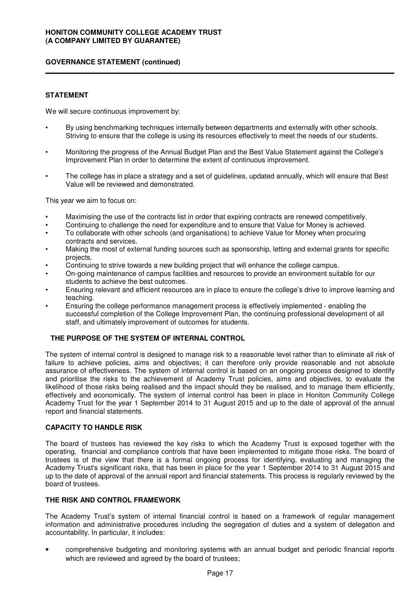# **STATEMENT**

We will secure continuous improvement by:

- By using benchmarking techniques internally between departments and externally with other schools. Striving to ensure that the college is using its resources effectively to meet the needs of our students.
- Monitoring the progress of the Annual Budget Plan and the Best Value Statement against the College's Improvement Plan in order to determine the extent of continuous improvement.
- The college has in place a strategy and a set of guidelines, updated annually, which will ensure that Best Value will be reviewed and demonstrated.

This year we aim to focus on:

- Maximising the use of the contracts list in order that expiring contracts are renewed competitively.
- Continuing to challenge the need for expenditure and to ensure that Value for Money is achieved.
- To collaborate with other schools (and organisations) to achieve Value for Money when procuring contracts and services.
- Making the most of external funding sources such as sponsorship, letting and external grants for specific projects.
- Continuing to strive towards a new building project that will enhance the college campus.
- On-going maintenance of campus facilities and resources to provide an environment suitable for our students to achieve the best outcomes.
- Ensuring relevant and efficient resources are in place to ensure the college's drive to improve learning and teaching.
- Ensuring the college performance management process is effectively implemented enabling the successful completion of the College Improvement Plan, the continuing professional development of all staff, and ultimately improvement of outcomes for students.

# **THE PURPOSE OF THE SYSTEM OF INTERNAL CONTROL**

The system of internal control is designed to manage risk to a reasonable level rather than to eliminate all risk of failure to achieve policies, aims and objectives; it can therefore only provide reasonable and not absolute assurance of effectiveness. The system of internal control is based on an ongoing process designed to identify and prioritise the risks to the achievement of Academy Trust policies, aims and objectives, to evaluate the likelihood of those risks being realised and the impact should they be realised, and to manage them efficiently, effectively and economically. The system of internal control has been in place in Honiton Community College Academy Trust for the year 1 September 2014 to 31 August 2015 and up to the date of approval of the annual report and financial statements.

# **CAPACITY TO HANDLE RISK**

The board of trustees has reviewed the key risks to which the Academy Trust is exposed together with the operating, financial and compliance controls that have been implemented to mitigate those risks. The board of trustees is of the view that there is a formal ongoing process for identifying, evaluating and managing the Academy Trust's significant risks, that has been in place for the year 1 September 2014 to 31 August 2015 and up to the date of approval of the annual report and financial statements. This process is regularly reviewed by the board of trustees.

# **THE RISK AND CONTROL FRAMEWORK**

The Academy Trust's system of internal financial control is based on a framework of regular management information and administrative procedures including the segregation of duties and a system of delegation and accountability. In particular, it includes:

• comprehensive budgeting and monitoring systems with an annual budget and periodic financial reports which are reviewed and agreed by the board of trustees;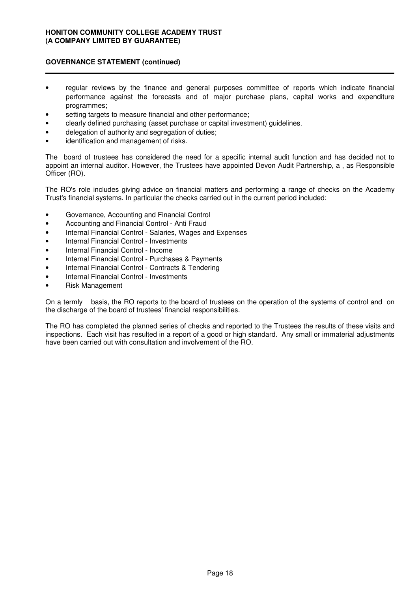# **GOVERNANCE STATEMENT (continued)**

- regular reviews by the finance and general purposes committee of reports which indicate financial performance against the forecasts and of major purchase plans, capital works and expenditure programmes;
- setting targets to measure financial and other performance;
- clearly defined purchasing (asset purchase or capital investment) guidelines.
- delegation of authority and segregation of duties;
- identification and management of risks.

The board of trustees has considered the need for a specific internal audit function and has decided not to appoint an internal auditor. However, the Trustees have appointed Devon Audit Partnership, a , as Responsible Officer (RO).

The RO's role includes giving advice on financial matters and performing a range of checks on the Academy Trust's financial systems. In particular the checks carried out in the current period included:

- Governance, Accounting and Financial Control
- Accounting and Financial Control Anti Fraud
- Internal Financial Control Salaries, Wages and Expenses
- Internal Financial Control Investments
- Internal Financial Control Income
- Internal Financial Control Purchases & Payments
- Internal Financial Control Contracts & Tendering
- Internal Financial Control Investments
- Risk Management

On a termly basis, the RO reports to the board of trustees on the operation of the systems of control and on the discharge of the board of trustees' financial responsibilities.

The RO has completed the planned series of checks and reported to the Trustees the results of these visits and inspections. Each visit has resulted in a report of a good or high standard. Any small or immaterial adjustments have been carried out with consultation and involvement of the RO.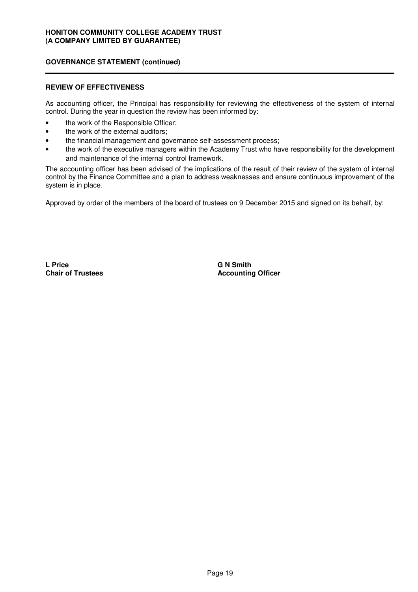## **REVIEW OF EFFECTIVENESS**

As accounting officer, the Principal has responsibility for reviewing the effectiveness of the system of internal control. During the year in question the review has been informed by:

- the work of the Responsible Officer;
- the work of the external auditors;
- the financial management and governance self-assessment process;
- the work of the executive managers within the Academy Trust who have responsibility for the development and maintenance of the internal control framework.

The accounting officer has been advised of the implications of the result of their review of the system of internal control by the Finance Committee and a plan to address weaknesses and ensure continuous improvement of the system is in place.

Approved by order of the members of the board of trustees on 9 December 2015 and signed on its behalf, by:

**L Price Chair of Trustees** **G N Smith Accounting Officer**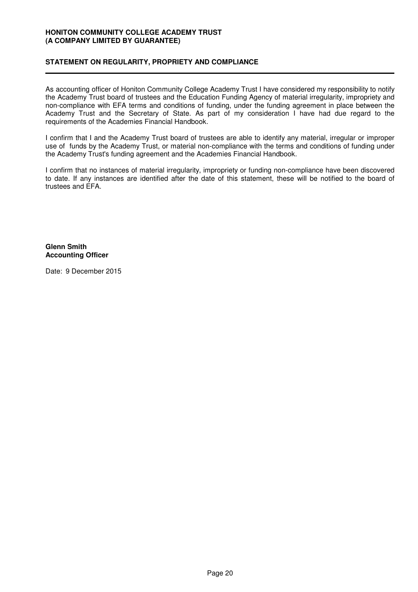# **STATEMENT ON REGULARITY, PROPRIETY AND COMPLIANCE**

As accounting officer of Honiton Community College Academy Trust I have considered my responsibility to notify the Academy Trust board of trustees and the Education Funding Agency of material irregularity, impropriety and non-compliance with EFA terms and conditions of funding, under the funding agreement in place between the Academy Trust and the Secretary of State. As part of my consideration I have had due regard to the requirements of the Academies Financial Handbook.

I confirm that I and the Academy Trust board of trustees are able to identify any material, irregular or improper use of funds by the Academy Trust, or material non-compliance with the terms and conditions of funding under the Academy Trust's funding agreement and the Academies Financial Handbook.

I confirm that no instances of material irregularity, impropriety or funding non-compliance have been discovered to date. If any instances are identified after the date of this statement, these will be notified to the board of trustees and EFA.

## **Glenn Smith Accounting Officer**

Date: 9 December 2015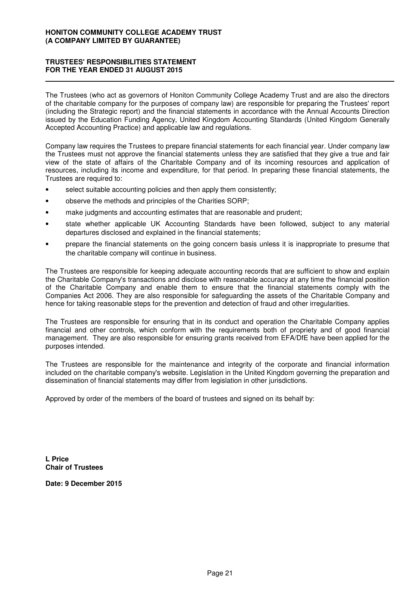# **TRUSTEES' RESPONSIBILITIES STATEMENT FOR THE YEAR ENDED 31 AUGUST 2015**

The Trustees (who act as governors of Honiton Community College Academy Trust and are also the directors of the charitable company for the purposes of company law) are responsible for preparing the Trustees' report (including the Strategic report) and the financial statements in accordance with the Annual Accounts Direction issued by the Education Funding Agency, United Kingdom Accounting Standards (United Kingdom Generally Accepted Accounting Practice) and applicable law and regulations.

Company law requires the Trustees to prepare financial statements for each financial year. Under company law the Trustees must not approve the financial statements unless they are satisfied that they give a true and fair view of the state of affairs of the Charitable Company and of its incoming resources and application of resources, including its income and expenditure, for that period. In preparing these financial statements, the Trustees are required to:

- select suitable accounting policies and then apply them consistently;
- observe the methods and principles of the Charities SORP;
- make judgments and accounting estimates that are reasonable and prudent;
- state whether applicable UK Accounting Standards have been followed, subject to any material departures disclosed and explained in the financial statements;
- prepare the financial statements on the going concern basis unless it is inappropriate to presume that the charitable company will continue in business.

The Trustees are responsible for keeping adequate accounting records that are sufficient to show and explain the Charitable Company's transactions and disclose with reasonable accuracy at any time the financial position of the Charitable Company and enable them to ensure that the financial statements comply with the Companies Act 2006. They are also responsible for safeguarding the assets of the Charitable Company and hence for taking reasonable steps for the prevention and detection of fraud and other irregularities.

The Trustees are responsible for ensuring that in its conduct and operation the Charitable Company applies financial and other controls, which conform with the requirements both of propriety and of good financial management. They are also responsible for ensuring grants received from EFA/DfE have been applied for the purposes intended.

The Trustees are responsible for the maintenance and integrity of the corporate and financial information included on the charitable company's website. Legislation in the United Kingdom governing the preparation and dissemination of financial statements may differ from legislation in other jurisdictions.

Approved by order of the members of the board of trustees and signed on its behalf by:

**L Price Chair of Trustees**

**Date: 9 December 2015**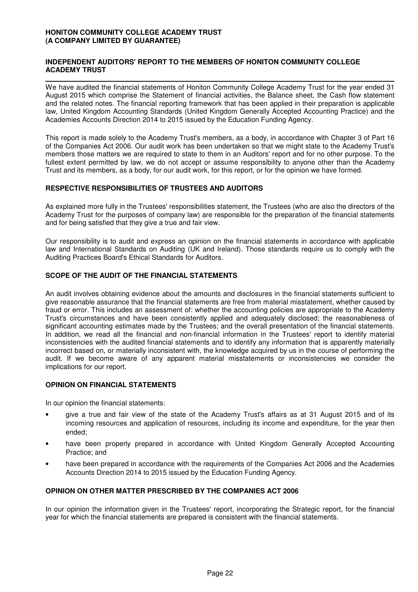## **INDEPENDENT AUDITORS' REPORT TO THE MEMBERS OF HONITON COMMUNITY COLLEGE ACADEMY TRUST**

We have audited the financial statements of Honiton Community College Academy Trust for the year ended 31 August 2015 which comprise the Statement of financial activities, the Balance sheet, the Cash flow statement and the related notes. The financial reporting framework that has been applied in their preparation is applicable law, United Kingdom Accounting Standards (United Kingdom Generally Accepted Accounting Practice) and the Academies Accounts Direction 2014 to 2015 issued by the Education Funding Agency.

This report is made solely to the Academy Trust's members, as a body, in accordance with Chapter 3 of Part 16 of the Companies Act 2006. Our audit work has been undertaken so that we might state to the Academy Trust's members those matters we are required to state to them in an Auditors' report and for no other purpose. To the fullest extent permitted by law, we do not accept or assume responsibility to anyone other than the Academy Trust and its members, as a body, for our audit work, for this report, or for the opinion we have formed.

## **RESPECTIVE RESPONSIBILITIES OF TRUSTEES AND AUDITORS**

As explained more fully in the Trustees' responsibilities statement, the Trustees (who are also the directors of the Academy Trust for the purposes of company law) are responsible for the preparation of the financial statements and for being satisfied that they give a true and fair view.

Our responsibility is to audit and express an opinion on the financial statements in accordance with applicable law and International Standards on Auditing (UK and Ireland). Those standards require us to comply with the Auditing Practices Board's Ethical Standards for Auditors.

# **SCOPE OF THE AUDIT OF THE FINANCIAL STATEMENTS**

An audit involves obtaining evidence about the amounts and disclosures in the financial statements sufficient to give reasonable assurance that the financial statements are free from material misstatement, whether caused by fraud or error. This includes an assessment of: whether the accounting policies are appropriate to the Academy Trust's circumstances and have been consistently applied and adequately disclosed; the reasonableness of significant accounting estimates made by the Trustees; and the overall presentation of the financial statements. In addition, we read all the financial and non-financial information in the Trustees' report to identify material inconsistencies with the audited financial statements and to identify any information that is apparently materially incorrect based on, or materially inconsistent with, the knowledge acquired by us in the course of performing the audit. If we become aware of any apparent material misstatements or inconsistencies we consider the implications for our report.

# **OPINION ON FINANCIAL STATEMENTS**

In our opinion the financial statements:

- give a true and fair view of the state of the Academy Trust's affairs as at 31 August 2015 and of its incoming resources and application of resources, including its income and expenditure, for the year then ended;
- have been properly prepared in accordance with United Kingdom Generally Accepted Accounting Practice; and
- have been prepared in accordance with the requirements of the Companies Act 2006 and the Academies Accounts Direction 2014 to 2015 issued by the Education Funding Agency.

# **OPINION ON OTHER MATTER PRESCRIBED BY THE COMPANIES ACT 2006**

In our opinion the information given in the Trustees' report, incorporating the Strategic report, for the financial year for which the financial statements are prepared is consistent with the financial statements.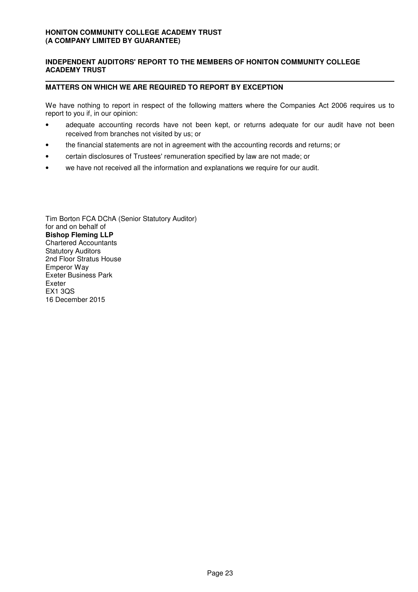# **INDEPENDENT AUDITORS' REPORT TO THE MEMBERS OF HONITON COMMUNITY COLLEGE ACADEMY TRUST**

## **MATTERS ON WHICH WE ARE REQUIRED TO REPORT BY EXCEPTION**

We have nothing to report in respect of the following matters where the Companies Act 2006 requires us to report to you if, in our opinion:

- adequate accounting records have not been kept, or returns adequate for our audit have not been received from branches not visited by us; or
- the financial statements are not in agreement with the accounting records and returns; or
- certain disclosures of Trustees' remuneration specified by law are not made; or Ī
- we have not received all the information and explanations we require for our audit.

Tim Borton FCA DChA (Senior Statutory Auditor) for and on behalf of **Bishop Fleming LLP** Chartered Accountants Statutory Auditors 2nd Floor Stratus House Emperor Way Exeter Business Park Exeter EX1 3QS 16 December 2015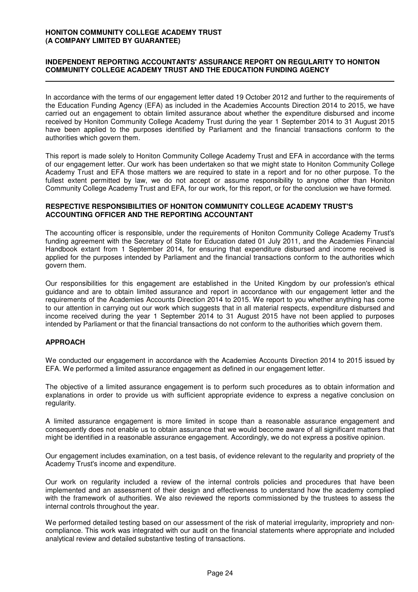## **INDEPENDENT REPORTING ACCOUNTANTS' ASSURANCE REPORT ON REGULARITY TO HONITON COMMUNITY COLLEGE ACADEMY TRUST AND THE EDUCATION FUNDING AGENCY**

In accordance with the terms of our engagement letter dated 19 October 2012 and further to the requirements of the Education Funding Agency (EFA) as included in the Academies Accounts Direction 2014 to 2015, we have carried out an engagement to obtain limited assurance about whether the expenditure disbursed and income received by Honiton Community College Academy Trust during the year 1 September 2014 to 31 August 2015 have been applied to the purposes identified by Parliament and the financial transactions conform to the authorities which govern them.

This report is made solely to Honiton Community College Academy Trust and EFA in accordance with the terms of our engagement letter. Our work has been undertaken so that we might state to Honiton Community College Academy Trust and EFA those matters we are required to state in a report and for no other purpose. To the fullest extent permitted by law, we do not accept or assume responsibility to anyone other than Honiton Community College Academy Trust and EFA, for our work, for this report, or for the conclusion we have formed.

### **RESPECTIVE RESPONSIBILITIES OF HONITON COMMUNITY COLLEGE ACADEMY TRUST'S ACCOUNTING OFFICER AND THE REPORTING ACCOUNTANT**

The accounting officer is responsible, under the requirements of Honiton Community College Academy Trust's funding agreement with the Secretary of State for Education dated 01 July 2011, and the Academies Financial Handbook extant from 1 September 2014, for ensuring that expenditure disbursed and income received is applied for the purposes intended by Parliament and the financial transactions conform to the authorities which govern them.

Our responsibilities for this engagement are established in the United Kingdom by our profession's ethical guidance and are to obtain limited assurance and report in accordance with our engagement letter and the requirements of the Academies Accounts Direction 2014 to 2015. We report to you whether anything has come to our attention in carrying out our work which suggests that in all material respects, expenditure disbursed and income received during the year 1 September 2014 to 31 August 2015 have not been applied to purposes intended by Parliament or that the financial transactions do not conform to the authorities which govern them.

## **APPROACH**

We conducted our engagement in accordance with the Academies Accounts Direction 2014 to 2015 issued by EFA. We performed a limited assurance engagement as defined in our engagement letter.

The objective of a limited assurance engagement is to perform such procedures as to obtain information and explanations in order to provide us with sufficient appropriate evidence to express a negative conclusion on regularity.

A limited assurance engagement is more limited in scope than a reasonable assurance engagement and consequently does not enable us to obtain assurance that we would become aware of all significant matters that might be identified in a reasonable assurance engagement. Accordingly, we do not express a positive opinion.

Our engagement includes examination, on a test basis, of evidence relevant to the regularity and propriety of the Academy Trust's income and expenditure.

Our work on regularity included a review of the internal controls policies and procedures that have been implemented and an assessment of their design and effectiveness to understand how the academy complied with the framework of authorities. We also reviewed the reports commissioned by the trustees to assess the internal controls throughout the year.

We performed detailed testing based on our assessment of the risk of material irregularity, impropriety and noncompliance. This work was integrated with our audit on the financial statements where appropriate and included analytical review and detailed substantive testing of transactions.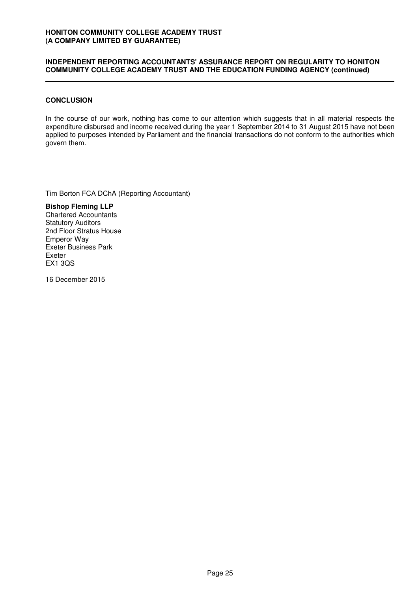## **INDEPENDENT REPORTING ACCOUNTANTS' ASSURANCE REPORT ON REGULARITY TO HONITON COMMUNITY COLLEGE ACADEMY TRUST AND THE EDUCATION FUNDING AGENCY (continued)**

## **CONCLUSION**

In the course of our work, nothing has come to our attention which suggests that in all material respects the expenditure disbursed and income received during the year 1 September 2014 to 31 August 2015 have not been applied to purposes intended by Parliament and the financial transactions do not conform to the authorities which govern them.

Tim Borton FCA DChA (Reporting Accountant)

**Bishop Fleming LLP** Chartered Accountants Statutory Auditors 2nd Floor Stratus House Emperor Way Exeter Business Park Exeter EX1 3QS

16 December 2015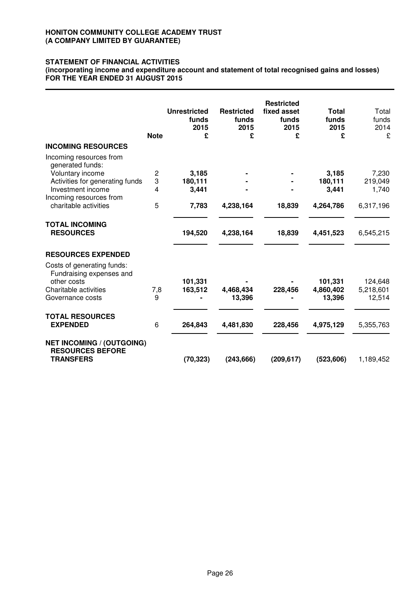# **STATEMENT OF FINANCIAL ACTIVITIES**

**(incorporating income and expenditure account and statement of total recognised gains and losses) FOR THE YEAR ENDED 31 AUGUST 2015**

|                                                                                                                    | <b>Note</b> | <b>Unrestricted</b><br>funds<br>2015<br>£ | <b>Restricted</b><br>funds<br>2015<br>£ | <b>Restricted</b><br>fixed asset<br>funds<br>2015<br>£ | <b>Total</b><br>funds<br>2015<br>£ | Total<br>funds<br>2014<br>£    |
|--------------------------------------------------------------------------------------------------------------------|-------------|-------------------------------------------|-----------------------------------------|--------------------------------------------------------|------------------------------------|--------------------------------|
| <b>INCOMING RESOURCES</b>                                                                                          |             |                                           |                                         |                                                        |                                    |                                |
| Incoming resources from<br>generated funds:                                                                        |             |                                           |                                         |                                                        |                                    |                                |
| Voluntary income                                                                                                   | 2           | 3,185                                     |                                         |                                                        | 3,185                              | 7,230                          |
| Activities for generating funds                                                                                    | 3           | 180,111                                   |                                         |                                                        | 180,111                            | 219,049                        |
| Investment income<br>Incoming resources from                                                                       | 4           | 3,441                                     |                                         |                                                        | 3,441                              | 1,740                          |
| charitable activities                                                                                              | 5           | 7,783                                     | 4,238,164                               | 18,839                                                 | 4,264,786                          | 6,317,196                      |
| <b>TOTAL INCOMING</b><br><b>RESOURCES</b>                                                                          |             | 194,520                                   | 4,238,164                               | 18,839                                                 | 4,451,523                          | 6,545,215                      |
| <b>RESOURCES EXPENDED</b>                                                                                          |             |                                           |                                         |                                                        |                                    |                                |
| Costs of generating funds:<br>Fundraising expenses and<br>other costs<br>Charitable activities<br>Governance costs | 7,8<br>9    | 101,331<br>163,512                        | 4,468,434<br>13,396                     | 228,456                                                | 101,331<br>4,860,402<br>13,396     | 124,648<br>5,218,601<br>12,514 |
| <b>TOTAL RESOURCES</b><br><b>EXPENDED</b>                                                                          | 6           | 264,843                                   | 4,481,830                               | 228,456                                                | 4,975,129                          | 5,355,763                      |
| <b>NET INCOMING / (OUTGOING)</b><br><b>RESOURCES BEFORE</b><br><b>TRANSFERS</b>                                    |             | (70, 323)                                 | (243, 666)                              | (209, 617)                                             | (523, 606)                         | 1,189,452                      |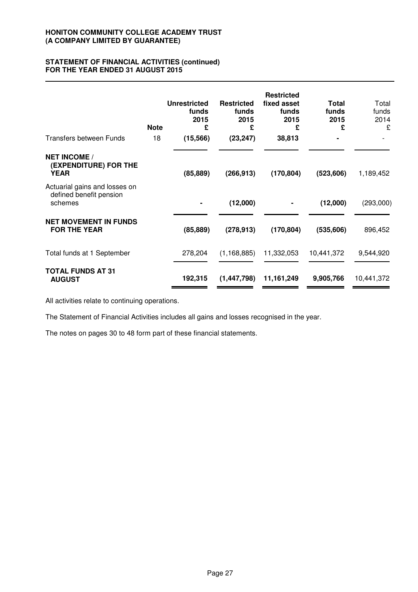# **STATEMENT OF FINANCIAL ACTIVITIES (continued) FOR THE YEAR ENDED 31 AUGUST 2015**

|                                                                     | <b>Note</b> | <b>Unrestricted</b><br>funds<br>2015<br>£ | <b>Restricted</b><br>funds<br>2015<br>£ | <b>Restricted</b><br>fixed asset<br>funds<br>2015<br>£ | <b>Total</b><br>funds<br>2015<br>£ | Total<br>funds<br>2014<br>£ |
|---------------------------------------------------------------------|-------------|-------------------------------------------|-----------------------------------------|--------------------------------------------------------|------------------------------------|-----------------------------|
| <b>Transfers between Funds</b>                                      | 18          | (15, 566)                                 | (23, 247)                               | 38,813                                                 |                                    |                             |
| <b>NET INCOME /</b><br>(EXPENDITURE) FOR THE<br><b>YEAR</b>         |             | (85, 889)                                 | (266, 913)                              | (170, 804)                                             | (523, 606)                         | 1,189,452                   |
| Actuarial gains and losses on<br>defined benefit pension<br>schemes |             |                                           | (12,000)                                |                                                        | (12,000)                           | (293,000)                   |
| <b>NET MOVEMENT IN FUNDS</b><br><b>FOR THE YEAR</b>                 |             | (85, 889)                                 | (278, 913)                              | (170, 804)                                             | (535, 606)                         | 896,452                     |
| Total funds at 1 September                                          |             | 278,204                                   | (1, 168, 885)                           | 11,332,053                                             | 10,441,372                         | 9,544,920                   |
| <b>TOTAL FUNDS AT 31</b><br><b>AUGUST</b>                           |             | 192,315                                   | (1, 447, 798)                           | 11, 161, 249                                           | 9,905,766                          | 10,441,372                  |

All activities relate to continuing operations.

The Statement of Financial Activities includes all gains and losses recognised in the year.

The notes on pages 30 to 48 form part of these financial statements.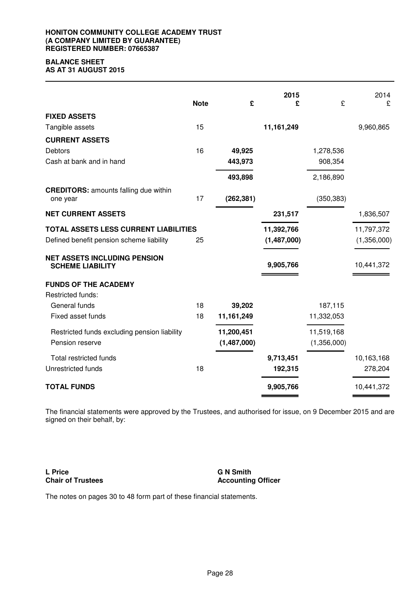## **HONITON COMMUNITY COLLEGE ACADEMY TRUST (A COMPANY LIMITED BY GUARANTEE) REGISTERED NUMBER: 07665387**

# **BALANCE SHEET**

**AS AT 31 AUGUST 2015**

|                                                                | <b>Note</b> | £           | 2015<br>£   | £           | 2014<br>£   |
|----------------------------------------------------------------|-------------|-------------|-------------|-------------|-------------|
| <b>FIXED ASSETS</b>                                            |             |             |             |             |             |
| Tangible assets                                                | 15          |             | 11,161,249  |             | 9,960,865   |
| <b>CURRENT ASSETS</b>                                          |             |             |             |             |             |
| <b>Debtors</b>                                                 | 16          | 49,925      |             | 1,278,536   |             |
| Cash at bank and in hand                                       |             | 443,973     |             | 908,354     |             |
|                                                                |             | 493,898     |             | 2,186,890   |             |
| <b>CREDITORS:</b> amounts falling due within<br>one year       | 17          | (262, 381)  |             | (350, 383)  |             |
| <b>NET CURRENT ASSETS</b>                                      |             |             | 231,517     |             | 1,836,507   |
| TOTAL ASSETS LESS CURRENT LIABILITIES                          |             |             | 11,392,766  |             | 11,797,372  |
| Defined benefit pension scheme liability                       | 25          |             | (1,487,000) |             | (1,356,000) |
| <b>NET ASSETS INCLUDING PENSION</b><br><b>SCHEME LIABILITY</b> |             |             | 9,905,766   |             | 10,441,372  |
| <b>FUNDS OF THE ACADEMY</b>                                    |             |             |             |             |             |
| Restricted funds:                                              |             |             |             |             |             |
| General funds                                                  | 18          | 39,202      |             | 187,115     |             |
| Fixed asset funds                                              | 18          | 11,161,249  |             | 11,332,053  |             |
| Restricted funds excluding pension liability                   |             | 11,200,451  |             | 11,519,168  |             |
| Pension reserve                                                |             | (1,487,000) |             | (1,356,000) |             |
| Total restricted funds                                         |             |             | 9,713,451   |             | 10,163,168  |
| Unrestricted funds                                             | 18          |             | 192,315     |             | 278,204     |
| <b>TOTAL FUNDS</b>                                             |             |             | 9,905,766   |             | 10,441,372  |

The financial statements were approved by the Trustees, and authorised for issue, on 9 December 2015 and are signed on their behalf, by:

**L Price Chair of Trustees** **G N Smith Accounting Officer**

The notes on pages 30 to 48 form part of these financial statements.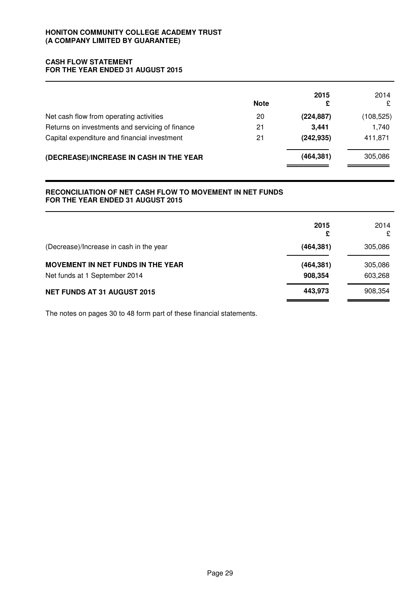# **CASH FLOW STATEMENT FOR THE YEAR ENDED 31 AUGUST 2015**

|                                                 | <b>Note</b> | 2015<br>£  | 2014<br>£  |
|-------------------------------------------------|-------------|------------|------------|
| Net cash flow from operating activities         | 20          | (224, 887) | (108, 525) |
| Returns on investments and servicing of finance | 21          | 3.441      | 1,740      |
| Capital expenditure and financial investment    | 21          | (242, 935) | 411,871    |
| (DECREASE)/INCREASE IN CASH IN THE YEAR         |             | (464, 381) | 305,086    |

# **RECONCILIATION OF NET CASH FLOW TO MOVEMENT IN NET FUNDS FOR THE YEAR ENDED 31 AUGUST 2015**

|                                          | 2015<br>£  | 2014<br>£ |
|------------------------------------------|------------|-----------|
| (Decrease)/Increase in cash in the year  | (464, 381) | 305,086   |
| <b>MOVEMENT IN NET FUNDS IN THE YEAR</b> | (464, 381) | 305,086   |
| Net funds at 1 September 2014            | 908,354    | 603,268   |
| <b>NET FUNDS AT 31 AUGUST 2015</b>       | 443,973    | 908,354   |

The notes on pages 30 to 48 form part of these financial statements.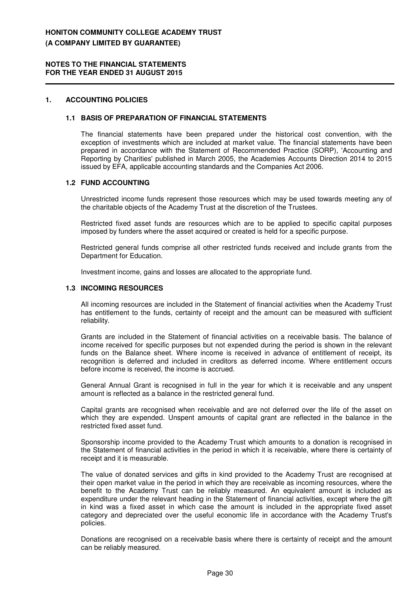## **1. ACCOUNTING POLICIES**

#### **1.1 BASIS OF PREPARATION OF FINANCIAL STATEMENTS**

The financial statements have been prepared under the historical cost convention, with the exception of investments which are included at market value. The financial statements have been prepared in accordance with the Statement of Recommended Practice (SORP), 'Accounting and Reporting by Charities' published in March 2005, the Academies Accounts Direction 2014 to 2015 issued by EFA, applicable accounting standards and the Companies Act 2006.

# **1.2 FUND ACCOUNTING**

Unrestricted income funds represent those resources which may be used towards meeting any of the charitable objects of the Academy Trust at the discretion of the Trustees.

Restricted fixed asset funds are resources which are to be applied to specific capital purposes imposed by funders where the asset acquired or created is held for a specific purpose.

Restricted general funds comprise all other restricted funds received and include grants from the Department for Education.

Investment income, gains and losses are allocated to the appropriate fund.

## **1.3 INCOMING RESOURCES**

All incoming resources are included in the Statement of financial activities when the Academy Trust has entitlement to the funds, certainty of receipt and the amount can be measured with sufficient reliability.

Grants are included in the Statement of financial activities on a receivable basis. The balance of income received for specific purposes but not expended during the period is shown in the relevant funds on the Balance sheet. Where income is received in advance of entitlement of receipt, its recognition is deferred and included in creditors as deferred income. Where entitlement occurs before income is received, the income is accrued.

General Annual Grant is recognised in full in the year for which it is receivable and any unspent amount is reflected as a balance in the restricted general fund.

Capital grants are recognised when receivable and are not deferred over the life of the asset on which they are expended. Unspent amounts of capital grant are reflected in the balance in the restricted fixed asset fund.

Sponsorship income provided to the Academy Trust which amounts to a donation is recognised in the Statement of financial activities in the period in which it is receivable, where there is certainty of receipt and it is measurable.

The value of donated services and gifts in kind provided to the Academy Trust are recognised at their open market value in the period in which they are receivable as incoming resources, where the benefit to the Academy Trust can be reliably measured. An equivalent amount is included as expenditure under the relevant heading in the Statement of financial activities, except where the gift in kind was a fixed asset in which case the amount is included in the appropriate fixed asset category and depreciated over the useful economic life in accordance with the Academy Trust's policies.

Donations are recognised on a receivable basis where there is certainty of receipt and the amount can be reliably measured.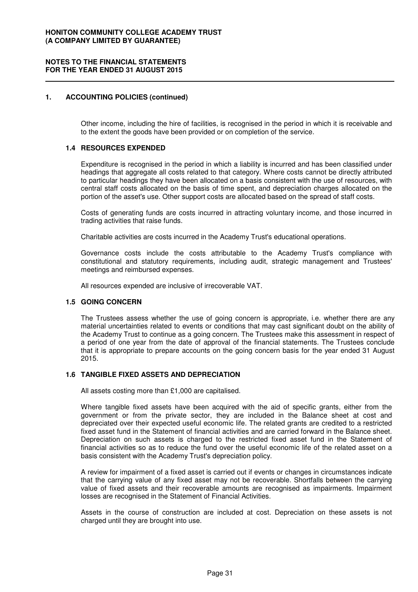#### **1. ACCOUNTING POLICIES (continued)**

Other income, including the hire of facilities, is recognised in the period in which it is receivable and to the extent the goods have been provided or on completion of the service.

## **1.4 RESOURCES EXPENDED**

Expenditure is recognised in the period in which a liability is incurred and has been classified under headings that aggregate all costs related to that category. Where costs cannot be directly attributed to particular headings they have been allocated on a basis consistent with the use of resources, with central staff costs allocated on the basis of time spent, and depreciation charges allocated on the portion of the asset's use. Other support costs are allocated based on the spread of staff costs.

Costs of generating funds are costs incurred in attracting voluntary income, and those incurred in trading activities that raise funds.

Charitable activities are costs incurred in the Academy Trust's educational operations.

Governance costs include the costs attributable to the Academy Trust's compliance with constitutional and statutory requirements, including audit, strategic management and Trustees' meetings and reimbursed expenses.

All resources expended are inclusive of irrecoverable VAT.

#### **1.5 GOING CONCERN**

The Trustees assess whether the use of going concern is appropriate, i.e. whether there are any material uncertainties related to events or conditions that may cast significant doubt on the ability of the Academy Trust to continue as a going concern. The Trustees make this assessment in respect of a period of one year from the date of approval of the financial statements. The Trustees conclude that it is appropriate to prepare accounts on the going concern basis for the year ended 31 August 2015.

#### **1.6 TANGIBLE FIXED ASSETS AND DEPRECIATION**

All assets costing more than £1,000 are capitalised.

Where tangible fixed assets have been acquired with the aid of specific grants, either from the government or from the private sector, they are included in the Balance sheet at cost and depreciated over their expected useful economic life. The related grants are credited to a restricted fixed asset fund in the Statement of financial activities and are carried forward in the Balance sheet. Depreciation on such assets is charged to the restricted fixed asset fund in the Statement of financial activities so as to reduce the fund over the useful economic life of the related asset on a basis consistent with the Academy Trust's depreciation policy.

A review for impairment of a fixed asset is carried out if events or changes in circumstances indicate that the carrying value of any fixed asset may not be recoverable. Shortfalls between the carrying value of fixed assets and their recoverable amounts are recognised as impairments. Impairment losses are recognised in the Statement of Financial Activities.

Assets in the course of construction are included at cost. Depreciation on these assets is not charged until they are brought into use.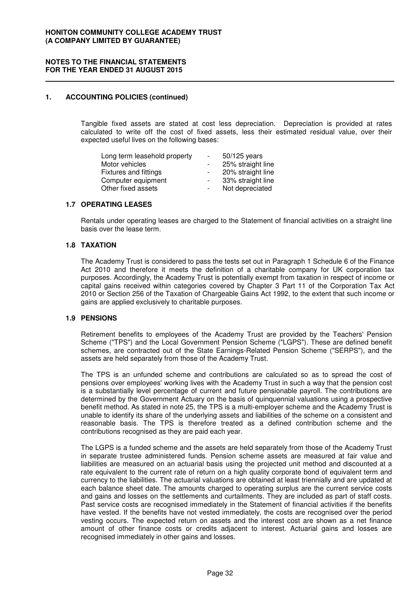## **1. ACCOUNTING POLICIES (continued)**

Tangible fixed assets are stated at cost less depreciation. Depreciation is provided at rates calculated to write off the cost of fixed assets, less their estimated residual value, over their expected useful lives on the following bases:

| $\sim$ | $50/125$ years    |
|--------|-------------------|
| $\sim$ | 25% straight line |
|        | 20% straight line |
| $\sim$ | 33% straight line |
|        | Not depreciated   |
|        |                   |

## **1.7 OPERATING LEASES**

Rentals under operating leases are charged to the Statement of financial activities on a straight line basis over the lease term.

## **1.8 TAXATION**

The Academy Trust is considered to pass the tests set out in Paragraph 1 Schedule 6 of the Finance Act 2010 and therefore it meets the definition of a charitable company for UK corporation tax purposes. Accordingly, the Academy Trust is potentially exempt from taxation in respect of income or capital gains received within categories covered by Chapter 3 Part 11 of the Corporation Tax Act 2010 or Section 256 of the Taxation of Chargeable Gains Act 1992, to the extent that such income or gains are applied exclusively to charitable purposes.

#### **1.9 PENSIONS**

Retirement benefits to employees of the Academy Trust are provided by the Teachers' Pension Scheme ("TPS") and the Local Government Pension Scheme ("LGPS"). These are defined benefit schemes, are contracted out of the State Earnings-Related Pension Scheme ("SERPS"), and the assets are held separately from those of the Academy Trust.

The TPS is an unfunded scheme and contributions are calculated so as to spread the cost of pensions over employees' working lives with the Academy Trust in such a way that the pension cost is a substantially level percentage of current and future pensionable payroll. The contributions are determined by the Government Actuary on the basis of quinquennial valuations using a prospective benefit method. As stated in note 25, the TPS is a multi-employer scheme and the Academy Trust is unable to identify its share of the underlying assets and liabilities of the scheme on a consistent and reasonable basis. The TPS is therefore treated as a defined contribution scheme and the contributions recognised as they are paid each year.

The LGPS is a funded scheme and the assets are held separately from those of the Academy Trust in separate trustee administered funds. Pension scheme assets are measured at fair value and liabilities are measured on an actuarial basis using the projected unit method and discounted at a rate equivalent to the current rate of return on a high quality corporate bond of equivalent term and currency to the liabilities. The actuarial valuations are obtained at least triennially and are updated at each balance sheet date. The amounts charged to operating surplus are the current service costs and gains and losses on the settlements and curtailments. They are included as part of staff costs. Past service costs are recognised immediately in the Statement of financial activities if the benefits have vested. If the benefits have not vested immediately, the costs are recognised over the period vesting occurs. The expected return on assets and the interest cost are shown as a net finance amount of other finance costs or credits adjacent to interest. Actuarial gains and losses are recognised immediately in other gains and losses.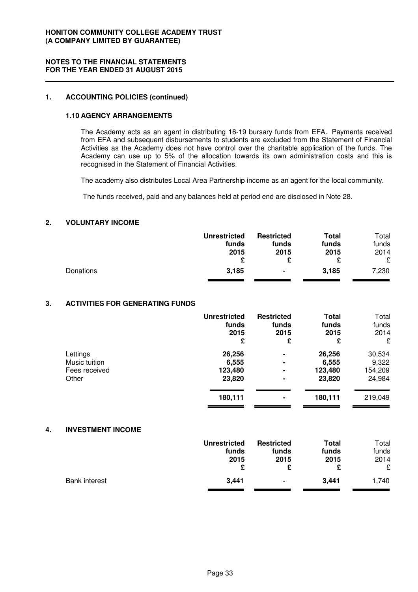## **1. ACCOUNTING POLICIES (continued)**

## **1.10 AGENCY ARRANGEMENTS**

The Academy acts as an agent in distributing 16-19 bursary funds from EFA. Payments received from EFA and subsequent disbursements to students are excluded from the Statement of Financial Activities as the Academy does not have control over the charitable application of the funds. The Academy can use up to 5% of the allocation towards its own administration costs and this is recognised in the Statement of Financial Activities.

The academy also distributes Local Area Partnership income as an agent for the local community.

The funds received, paid and any balances held at period end are disclosed in Note 28.

# **2. VOLUNTARY INCOME**

|           | <b>Unrestricted</b> | <b>Restricted</b> | <b>Total</b> | Total |
|-----------|---------------------|-------------------|--------------|-------|
|           | funds               | funds             | funds        | funds |
|           | 2015                | 2015              | 2015         | 2014  |
|           | £                   |                   |              | £     |
| Donations | 3,185               | $\blacksquare$    | 3,185        | 7,230 |

#### **3. ACTIVITIES FOR GENERATING FUNDS**

|               | <b>Unrestricted</b><br>funds<br>2015<br>£ | <b>Restricted</b><br>funds<br>2015<br>£ | Total<br>funds<br>2015<br>£ | Total<br>funds<br>2014<br>£ |
|---------------|-------------------------------------------|-----------------------------------------|-----------------------------|-----------------------------|
| Lettings      | 26,256                                    | ۰                                       | 26,256                      | 30,534                      |
| Music tuition | 6,555                                     | ۰                                       | 6,555                       | 9,322                       |
| Fees received | 123,480                                   | ۰                                       | 123,480                     | 154,209                     |
| Other         | 23,820                                    | $\blacksquare$                          | 23,820                      | 24,984                      |
|               | 180,111                                   | ۰                                       | 180,111                     | 219,049                     |

#### **4. INVESTMENT INCOME**

|                      | <b>Unrestricted</b><br>funds<br>2015 | <b>Restricted</b><br>funds<br>2015 | Total<br>funds<br>2015 | Total<br>funds<br>2014<br>£ |
|----------------------|--------------------------------------|------------------------------------|------------------------|-----------------------------|
| <b>Bank interest</b> | 3.441                                | $\blacksquare$                     | 3,441                  | 1,740                       |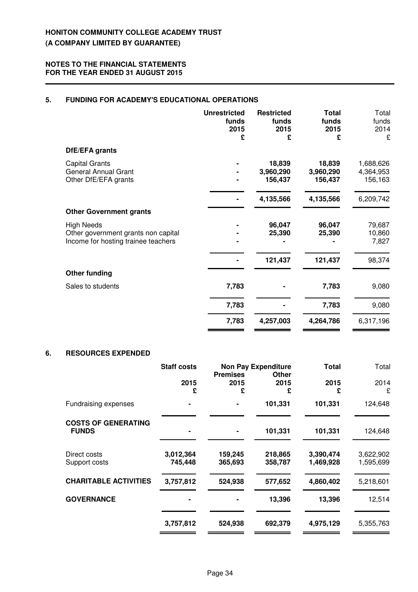# **5. FUNDING FOR ACADEMY'S EDUCATIONAL OPERATIONS**

|                                                                                                 | <b>Unrestricted</b><br>funds<br>2015<br>£ | <b>Restricted</b><br>funds<br>2015<br>£ | <b>Total</b><br>funds<br>2015<br>£ | Total<br>funds<br>2014<br>£       |
|-------------------------------------------------------------------------------------------------|-------------------------------------------|-----------------------------------------|------------------------------------|-----------------------------------|
| DfE/EFA grants                                                                                  |                                           |                                         |                                    |                                   |
| <b>Capital Grants</b><br><b>General Annual Grant</b><br>Other DfE/EFA grants                    |                                           | 18,839<br>3,960,290<br>156,437          | 18,839<br>3,960,290<br>156,437     | 1,688,626<br>4,364,953<br>156,163 |
|                                                                                                 |                                           | 4,135,566                               | 4,135,566                          | 6,209,742                         |
| <b>Other Government grants</b>                                                                  |                                           |                                         |                                    |                                   |
| <b>High Needs</b><br>Other government grants non capital<br>Income for hosting trainee teachers |                                           | 96,047<br>25,390                        | 96,047<br>25,390                   | 79,687<br>10,860<br>7,827         |
|                                                                                                 |                                           | 121,437                                 | 121,437                            | 98,374                            |
| <b>Other funding</b>                                                                            |                                           |                                         |                                    |                                   |
| Sales to students                                                                               | 7,783                                     |                                         | 7,783                              | 9,080                             |
|                                                                                                 | 7,783                                     |                                         | 7,783                              | 9,080                             |
|                                                                                                 | 7,783                                     | 4,257,003                               | 4,264,786                          | 6,317,196                         |

## **6. RESOURCES EXPENDED**

|                                            | <b>Staff costs</b>   | <b>Non Pay Expenditure</b>   |                    | <b>Total</b>           | Total                  |
|--------------------------------------------|----------------------|------------------------------|--------------------|------------------------|------------------------|
|                                            | 2015<br>£            | <b>Premises</b><br>2015<br>£ | Other<br>2015<br>£ | 2015<br>£              | 2014<br>£              |
| Fundraising expenses                       |                      |                              | 101,331            | 101,331                | 124,648                |
| <b>COSTS OF GENERATING</b><br><b>FUNDS</b> |                      |                              | 101,331            | 101,331                | 124,648                |
| Direct costs<br>Support costs              | 3,012,364<br>745,448 | 159,245<br>365,693           | 218,865<br>358,787 | 3,390,474<br>1,469,928 | 3,622,902<br>1,595,699 |
| <b>CHARITABLE ACTIVITIES</b>               | 3,757,812            | 524,938                      | 577,652            | 4,860,402              | 5,218,601              |
| <b>GOVERNANCE</b>                          |                      |                              | 13,396             | 13,396                 | 12,514                 |
|                                            | 3,757,812            | 524,938                      | 692,379            | 4,975,129              | 5,355,763              |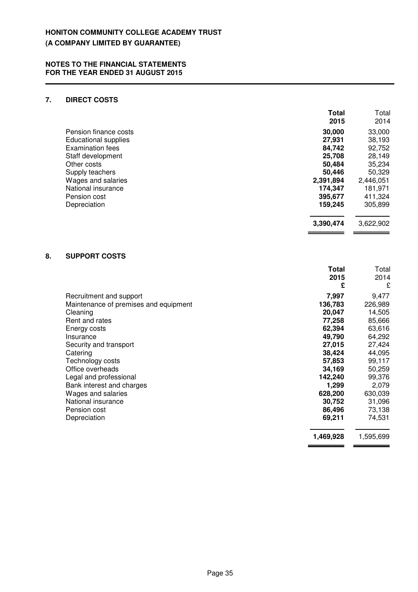# **7. DIRECT COSTS**

|                         | <b>Total</b><br>2015 | Total<br>2014 |
|-------------------------|----------------------|---------------|
| Pension finance costs   | 30,000               | 33,000        |
| Educational supplies    | 27,931               | 38,193        |
| <b>Examination fees</b> | 84.742               | 92,752        |
| Staff development       | 25,708               | 28,149        |
| Other costs             | 50,484               | 35,234        |
| Supply teachers         | 50.446               | 50,329        |
| Wages and salaries      | 2,391,894            | 2,446,051     |
| National insurance      | 174,347              | 181,971       |
| Pension cost            | 395,677              | 411,324       |
| Depreciation            | 159,245              | 305,899       |
|                         | 3,390,474            | 3,622,902     |

# **8. SUPPORT COSTS**

|                                       | Total     | Total     |
|---------------------------------------|-----------|-----------|
|                                       | 2015      | 2014      |
|                                       | £         | £         |
| Recruitment and support               | 7,997     | 9,477     |
| Maintenance of premises and equipment | 136,783   | 226,989   |
| Cleaning                              | 20,047    | 14,505    |
| Rent and rates                        | 77,258    | 85,666    |
| Energy costs                          | 62,394    | 63,616    |
| Insurance                             | 49,790    | 64,292    |
| Security and transport                | 27,015    | 27,424    |
| Catering                              | 38,424    | 44,095    |
| Technology costs                      | 57,853    | 99,117    |
| Office overheads                      | 34,169    | 50,259    |
| Legal and professional                | 142,240   | 99,376    |
| Bank interest and charges             | 1,299     | 2,079     |
| Wages and salaries                    | 628,200   | 630,039   |
| National insurance                    | 30,752    | 31,096    |
| Pension cost                          | 86,496    | 73,138    |
| Depreciation                          | 69,211    | 74,531    |
|                                       | 1,469,928 | 1,595,699 |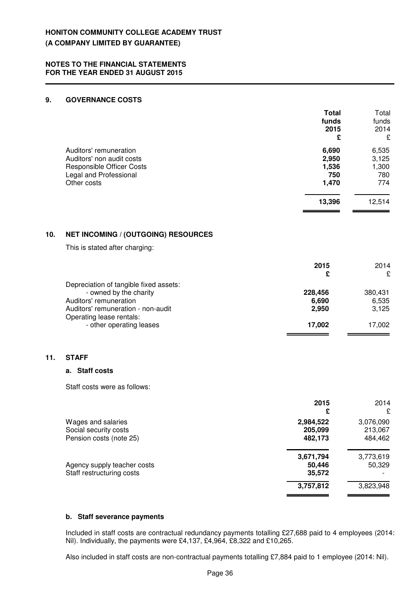## **9. GOVERNANCE COSTS**

**11.** 

|     |                                                                                                                                  | Total<br>funds<br>2015<br>£             | Total<br>funds<br>2014<br>£           |
|-----|----------------------------------------------------------------------------------------------------------------------------------|-----------------------------------------|---------------------------------------|
|     | Auditors' remuneration<br>Auditors' non audit costs<br><b>Responsible Officer Costs</b><br>Legal and Professional<br>Other costs | 6,690<br>2,950<br>1,536<br>750<br>1,470 | 6,535<br>3,125<br>1,300<br>780<br>774 |
|     |                                                                                                                                  | 13,396                                  | 12,514                                |
| 10. | <b>NET INCOMING / (OUTGOING) RESOURCES</b>                                                                                       |                                         |                                       |
|     | This is stated after charging:                                                                                                   |                                         |                                       |
|     |                                                                                                                                  | 2015<br>£                               | 2014<br>£                             |
|     | Depreciation of tangible fixed assets:<br>- owned by the charity<br>Auditors' remuneration<br>Auditors' remuneration - non-audit | 228,456<br>6,690<br>2,950               | 380,431<br>6,535<br>3,125             |
|     | Operating lease rentals:<br>- other operating leases                                                                             | 17,002                                  | 17,002                                |
| 11. | <b>STAFF</b>                                                                                                                     |                                         |                                       |
|     | a. Staff costs                                                                                                                   |                                         |                                       |
|     | Staff costs were as follows:                                                                                                     |                                         |                                       |
|     |                                                                                                                                  | 2015<br>£                               | 2014<br>£                             |
|     | Wages and salaries<br>Social security costs<br>Pension costs (note 25)                                                           | 2,984,522<br>205,099<br>482,173         | 3,076,090<br>213,067<br>484,462       |
|     | Agency supply teacher costs<br>Staff restructuring costs                                                                         | 3,671,794<br>50,446<br>35,572           | 3,773,619<br>50,329                   |
|     |                                                                                                                                  | 3,757,812                               | 3,823,948                             |

#### **b. Staff severance payments**

Included in staff costs are contractual redundancy payments totalling £27,688 paid to 4 employees (2014: Nil). Individually, the payments were £4,137, £4,964, £8,322 and £10,265.

Also included in staff costs are non-contractual payments totalling £7,884 paid to 1 employee (2014: Nil).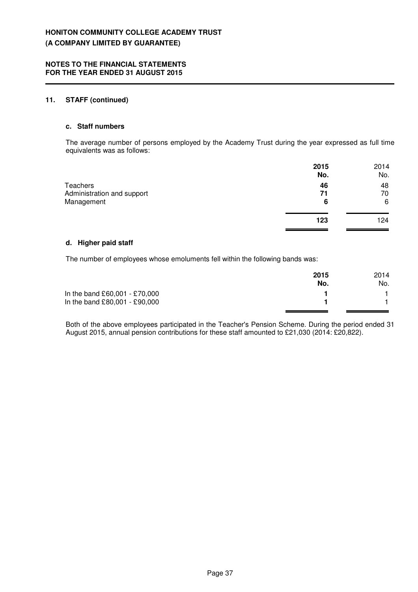## **11. STAFF (continued)**

#### **c. Staff numbers**

The average number of persons employed by the Academy Trust during the year expressed as full time equivalents was as follows:

|                            | 2015<br>No. | 2014<br>No. |
|----------------------------|-------------|-------------|
| Teachers                   | 46          | 48          |
| Administration and support | 71          | 70          |
| Management                 | 6           | 6           |
|                            | 123         | 124         |
|                            |             |             |

## **d. Higher paid staff**

The number of employees whose emoluments fell within the following bands was:

|                               | 2015<br>No. | 2014<br>No. |
|-------------------------------|-------------|-------------|
| In the band £60,001 - £70,000 |             |             |
| In the band £80,001 - £90,000 |             |             |
|                               |             |             |

Both of the above employees participated in the Teacher's Pension Scheme. During the period ended 31 August 2015, annual pension contributions for these staff amounted to £21,030 (2014: £20,822).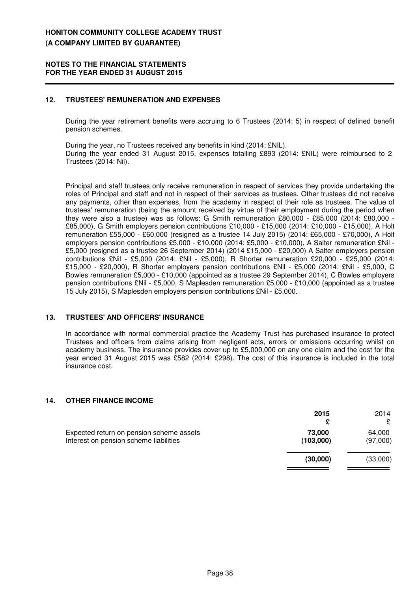## **12. TRUSTEES' REMUNERATION AND EXPENSES**

During the year retirement benefits were accruing to 6 Trustees (2014: 5) in respect of defined benefit pension schemes.

During the year, no Trustees received any benefits in kind (2014: £NIL). During the year ended 31 August 2015, expenses totalling £893 (2014: £NIL) were reimbursed to 2 Trustees (2014: Nil).

Principal and staff trustees only receive remuneration in respect of services they provide undertaking the roles of Principal and staff and not in respect of their services as trustees. Other trustees did not receive any payments, other than expenses, from the academy in respect of their role as trustees. The value of trustees' remuneration (being the amount received by virtue of their employment during the period when they were also a trustee) was as follows: G Smith remuneration £80,000 - £85,000 (2014: £80,000 - £85,000), G Smith employers pension contributions £10,000 - £15,000 (2014: £10,000 - £15,000), A Holt remuneration £55,000 - £60,000 (resigned as a trustee 14 July 2015) (2014: £65,000 - £70,000), A Holt employers pension contributions £5,000 - £10,000 (2014: £5,000 - £10,000), A Salter remuneration £Nil - £5,000 (resigned as a trustee 26 September 2014) (2014 £15,000 - £20,000) A Salter employers pension contributions £Nil - £5,000 (2014: £Nil - £5,000), R Shorter remuneration £20,000 - £25,000 (2014: £15,000 - £20,000), R Shorter employers pension contributions £Nil - £5,000 (2014: £Nil - £5,000, C Bowles remuneration £5,000 - £10,000 (appointed as a trustee 29 September 2014), C Bowles employers pension contributions £Nil - £5,000, S Maplesden remuneration £5,000 - £10,000 (appointed as a trustee 15 July 2015), S Maplesden employers pension contributions £Nil - £5,000.

#### **13. TRUSTEES' AND OFFICERS' INSURANCE**

In accordance with normal commercial practice the Academy Trust has purchased insurance to protect Trustees and officers from claims arising from negligent acts, errors or omissions occurring whilst on academy business. The insurance provides cover up to £5,000,000 on any one claim and the cost for the year ended 31 August 2015 was £582 (2014: £298). The cost of this insurance is included in the total insurance cost.

#### **14. OTHER FINANCE INCOME**

|                                                                                    | 2015                | 2014               |
|------------------------------------------------------------------------------------|---------------------|--------------------|
| Expected return on pension scheme assets<br>Interest on pension scheme liabilities | 73,000<br>(103,000) | 64,000<br>(97,000) |
|                                                                                    | (30,000)            | (33,000)           |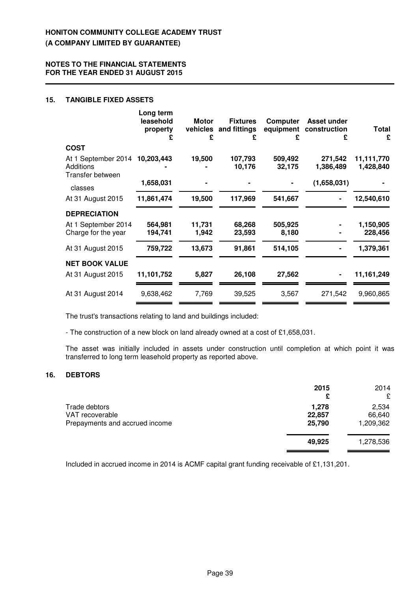## **15. TANGIBLE FIXED ASSETS**

|                                                      | Long term<br>leasehold<br>property<br>£ | <b>Motor</b><br>£ | <b>Fixtures</b><br>vehicles and fittings<br>£ | Computer<br>equipment<br>£ | Asset under<br>construction<br>£ | Total<br>£              |
|------------------------------------------------------|-----------------------------------------|-------------------|-----------------------------------------------|----------------------------|----------------------------------|-------------------------|
| <b>COST</b>                                          |                                         |                   |                                               |                            |                                  |                         |
| At 1 September 2014<br>Additions<br>Transfer between | 10,203,443                              | 19,500            | 107,793<br>10,176                             | 509,492<br>32,175          | 271,542<br>1,386,489             | 11,111,770<br>1,428,840 |
| classes                                              | 1,658,031                               |                   |                                               |                            | (1,658,031)                      |                         |
| At 31 August 2015                                    | 11,861,474                              | 19,500            | 117,969                                       | 541,667                    |                                  | 12,540,610              |
| <b>DEPRECIATION</b>                                  |                                         |                   |                                               |                            |                                  |                         |
| At 1 September 2014<br>Charge for the year           | 564,981<br>194,741                      | 11,731<br>1,942   | 68,268<br>23,593                              | 505,925<br>8,180           |                                  | 1,150,905<br>228,456    |
| At 31 August 2015                                    | 759,722                                 | 13,673            | 91,861                                        | 514,105                    |                                  | 1,379,361               |
| <b>NET BOOK VALUE</b>                                |                                         |                   |                                               |                            |                                  |                         |
| At 31 August 2015                                    | 11,101,752                              | 5,827             | 26,108                                        | 27,562                     |                                  | 11, 161, 249            |
| At 31 August 2014                                    | 9,638,462                               | 7,769             | 39,525                                        | 3,567                      | 271,542                          | 9,960,865               |

The trust's transactions relating to land and buildings included:

- The construction of a new block on land already owned at a cost of £1,658,031.

The asset was initially included in assets under construction until completion at which point it was transferred to long term leasehold property as reported above.

## **16. DEBTORS**

|                                                                    | 2015<br>£                 | 2014<br>£                    |
|--------------------------------------------------------------------|---------------------------|------------------------------|
| Trade debtors<br>VAT recoverable<br>Prepayments and accrued income | 1,278<br>22,857<br>25,790 | 2,534<br>66,640<br>1,209,362 |
|                                                                    | 49,925                    | 1,278,536                    |

Included in accrued income in 2014 is ACMF capital grant funding receivable of £1,131,201.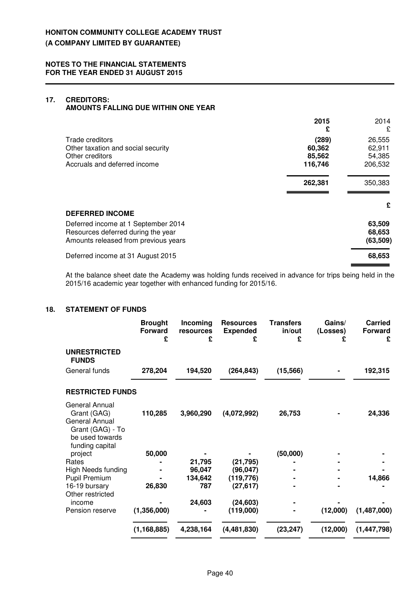## **17. CREDITORS: AMOUNTS FALLING DUE WITHIN ONE YEAR**

|                                                                                                                   | 2015<br>£                            | 2014<br>£                             |
|-------------------------------------------------------------------------------------------------------------------|--------------------------------------|---------------------------------------|
| Trade creditors<br>Other taxation and social security<br>Other creditors<br>Accruals and deferred income          | (289)<br>60,362<br>85,562<br>116,746 | 26,555<br>62,911<br>54,385<br>206,532 |
|                                                                                                                   | 262,381                              | 350,383                               |
| <b>DEFERRED INCOME</b>                                                                                            |                                      | £                                     |
| Deferred income at 1 September 2014<br>Resources deferred during the year<br>Amounts released from previous years |                                      | 63,509<br>68,653<br>(63, 509)         |
| Deferred income at 31 August 2015                                                                                 |                                      | 68,653                                |

At the balance sheet date the Academy was holding funds received in advance for trips being held in the 2015/16 academic year together with enhanced funding for 2015/16.

# **18. STATEMENT OF FUNDS**

|                                                                                                                  | <b>Brought</b><br><b>Forward</b><br>£ | Incoming<br>resources<br>£ | <b>Resources</b><br><b>Expended</b><br>£ | <b>Transfers</b><br>in/out<br>£ | Gains/<br>(Losses)<br>£ | <b>Carried</b><br><b>Forward</b><br>£ |
|------------------------------------------------------------------------------------------------------------------|---------------------------------------|----------------------------|------------------------------------------|---------------------------------|-------------------------|---------------------------------------|
| <b>UNRESTRICTED</b><br><b>FUNDS</b>                                                                              |                                       |                            |                                          |                                 |                         |                                       |
| General funds                                                                                                    | 278,204                               | 194,520                    | (264, 843)                               | (15, 566)                       |                         | 192,315                               |
| <b>RESTRICTED FUNDS</b>                                                                                          |                                       |                            |                                          |                                 |                         |                                       |
| <b>General Annual</b><br>Grant (GAG)<br>General Annual<br>Grant (GAG) - To<br>be used towards<br>funding capital | 110,285                               | 3,960,290                  | (4,072,992)                              | 26,753                          |                         | 24,336                                |
| project                                                                                                          | 50,000                                |                            |                                          | (50,000)                        |                         |                                       |
| Rates                                                                                                            |                                       | 21,795                     | (21, 795)                                |                                 |                         |                                       |
| <b>High Needs funding</b>                                                                                        |                                       | 96,047                     | (96, 047)                                |                                 |                         |                                       |
| Pupil Premium                                                                                                    |                                       | 134,642                    | (119, 776)                               |                                 |                         | 14,866                                |
| 16-19 bursary<br>Other restricted                                                                                | 26,830                                | 787                        | (27, 617)                                |                                 |                         |                                       |
| income                                                                                                           |                                       | 24,603                     | (24, 603)                                |                                 |                         |                                       |
| Pension reserve                                                                                                  | (1,356,000)                           |                            | (119,000)                                |                                 | (12,000)                | (1,487,000)                           |
|                                                                                                                  | (1, 168, 885)                         | 4,238,164                  | (4,481,830)                              | (23, 247)                       | (12,000)                | (1, 447, 798)                         |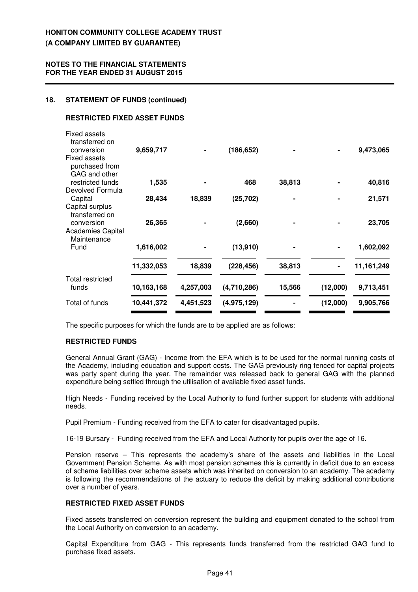## **NOTES TO THE FINANCIAL STATEMENTS FOR THE YEAR ENDED 31 AUGUST 2015**

## **18. STATEMENT OF FUNDS (continued)**

## **RESTRICTED FIXED ASSET FUNDS**

| <b>Fixed assets</b><br>transferred on<br>conversion<br><b>Fixed assets</b><br>purchased from<br>GAG and other | 9,659,717  |           | (186, 652)  |        |          | 9,473,065    |
|---------------------------------------------------------------------------------------------------------------|------------|-----------|-------------|--------|----------|--------------|
| restricted funds                                                                                              | 1,535      |           | 468         | 38,813 |          | 40,816       |
| Devolved Formula<br>Capital                                                                                   | 28,434     | 18,839    | (25, 702)   |        |          | 21,571       |
| Capital surplus<br>transferred on                                                                             |            |           |             |        |          |              |
| conversion                                                                                                    | 26,365     |           | (2,660)     |        |          | 23,705       |
| <b>Academies Capital</b><br>Maintenance                                                                       |            |           |             |        |          |              |
| Fund                                                                                                          | 1,616,002  |           | (13,910)    |        |          | 1,602,092    |
|                                                                                                               | 11,332,053 | 18,839    | (228, 456)  | 38,813 |          | 11, 161, 249 |
| Total restricted                                                                                              |            |           |             |        |          |              |
| funds                                                                                                         | 10,163,168 | 4,257,003 | (4,710,286) | 15,566 | (12,000) | 9,713,451    |
| Total of funds                                                                                                | 10,441,372 | 4,451,523 | (4,975,129) |        | (12,000) | 9,905,766    |

The specific purposes for which the funds are to be applied are as follows:

# **RESTRICTED FUNDS**

General Annual Grant (GAG) - Income from the EFA which is to be used for the normal running costs of the Academy, including education and support costs. The GAG previously ring fenced for capital projects was party spent during the year. The remainder was released back to general GAG with the planned expenditure being settled through the utilisation of available fixed asset funds.

High Needs - Funding received by the Local Authority to fund further support for students with additional needs.

Pupil Premium - Funding received from the EFA to cater for disadvantaged pupils.

16-19 Bursary - Funding received from the EFA and Local Authority for pupils over the age of 16.

Pension reserve – This represents the academy's share of the assets and liabilities in the Local Government Pension Scheme. As with most pension schemes this is currently in deficit due to an excess of scheme liabilities over scheme assets which was inherited on conversion to an academy. The academy is following the recommendations of the actuary to reduce the deficit by making additional contributions over a number of years.

# **RESTRICTED FIXED ASSET FUNDS**

Fixed assets transferred on conversion represent the building and equipment donated to the school from the Local Authority on conversion to an academy.

Capital Expenditure from GAG - This represents funds transferred from the restricted GAG fund to purchase fixed assets.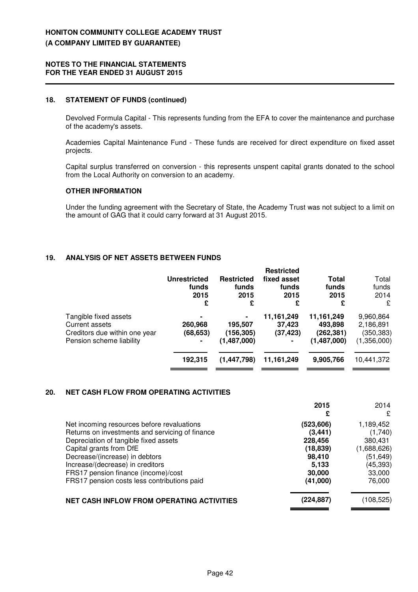#### **18. STATEMENT OF FUNDS (continued)**

Devolved Formula Capital - This represents funding from the EFA to cover the maintenance and purchase of the academy's assets.

Academies Capital Maintenance Fund - These funds are received for direct expenditure on fixed asset projects.

Capital surplus transferred on conversion - this represents unspent capital grants donated to the school from the Local Authority on conversion to an academy.

## **OTHER INFORMATION**

Under the funding agreement with the Secretary of State, the Academy Trust was not subject to a limit on the amount of GAG that it could carry forward at 31 August 2015.

# **19. ANALYSIS OF NET ASSETS BETWEEN FUNDS**

|                               | Unrestricted<br>funds<br>2015<br>£ | <b>Restricted</b><br>funds<br>2015<br>£ | <b>Restricted</b><br>fixed asset<br>funds<br>2015<br>£ | Total<br>funds<br>2015<br>£ | Total<br>funds<br>2014<br>£ |
|-------------------------------|------------------------------------|-----------------------------------------|--------------------------------------------------------|-----------------------------|-----------------------------|
| Tangible fixed assets         | ۰                                  | $\blacksquare$                          | 11,161,249                                             | 11,161,249                  | 9,960,864                   |
| Current assets                | 260,968                            | 195,507                                 | 37,423                                                 | 493,898                     | 2,186,891                   |
| Creditors due within one year | (68, 653)                          | (156, 305)                              | (37, 423)                                              | (262,381)                   | (350, 383)                  |
| Pension scheme liability      |                                    | (1,487,000)                             | ٠                                                      | (1,487,000)                 | (1,356,000)                 |
|                               | 192,315                            | (1, 447, 798)                           | 11,161,249                                             | 9,905,766                   | 10,441,372                  |

# **20. NET CASH FLOW FROM OPERATING ACTIVITIES**

|                                                  | 2015       | 2014        |
|--------------------------------------------------|------------|-------------|
|                                                  | £          | £           |
| Net incoming resources before revaluations       | (523, 606) | 1,189,452   |
| Returns on investments and servicing of finance  | (3, 441)   | (1,740)     |
| Depreciation of tangible fixed assets            | 228,456    | 380,431     |
| Capital grants from DfE                          | (18, 839)  | (1,688,626) |
| Decrease/(increase) in debtors                   | 98,410     | (51, 649)   |
| Increase/(decrease) in creditors                 | 5,133      | (45,393)    |
| FRS17 pension finance (income)/cost              | 30,000     | 33,000      |
| FRS17 pension costs less contributions paid      | (41,000)   | 76,000      |
| <b>NET CASH INFLOW FROM OPERATING ACTIVITIES</b> | (224,887)  | (108,525)   |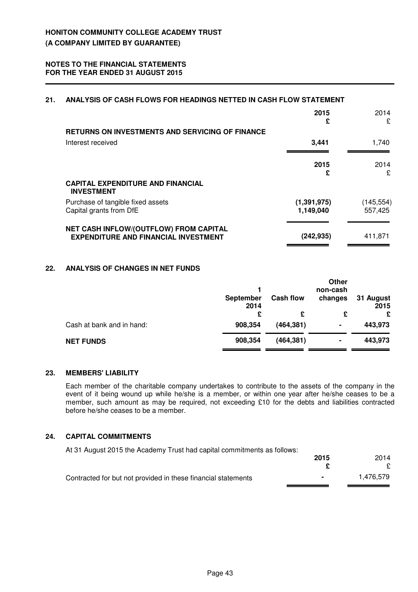# **21. ANALYSIS OF CASH FLOWS FOR HEADINGS NETTED IN CASH FLOW STATEMENT**

|                                                                                       | 2015<br>£                  | 2014<br>£            |
|---------------------------------------------------------------------------------------|----------------------------|----------------------|
| <b>RETURNS ON INVESTMENTS AND SERVICING OF FINANCE</b>                                |                            |                      |
| Interest received                                                                     | 3,441                      | 1,740                |
|                                                                                       |                            |                      |
|                                                                                       | 2015<br>£                  | 2014<br>£            |
| <b>CAPITAL EXPENDITURE AND FINANCIAL</b><br><b>INVESTMENT</b>                         |                            |                      |
| Purchase of tangible fixed assets<br>Capital grants from DfE                          | (1, 391, 975)<br>1,149,040 | (145,554)<br>557,425 |
| NET CASH INFLOW/(OUTFLOW) FROM CAPITAL<br><b>EXPENDITURE AND FINANCIAL INVESTMENT</b> | (242, 935)                 | 411,871              |

# **22. ANALYSIS OF CHANGES IN NET FUNDS**

|                           | <b>September</b><br>2014<br>£ | <b>Cash flow</b><br>£ | <b>Other</b><br>non-cash<br>changes<br>£ | 31 August<br>2015<br>£ |
|---------------------------|-------------------------------|-----------------------|------------------------------------------|------------------------|
| Cash at bank and in hand: | 908,354                       | (464, 381)            | ٠                                        | 443,973                |
| <b>NET FUNDS</b>          | 908,354                       | (464, 381)            | ۰                                        | 443,973                |

# **23. MEMBERS' LIABILITY**

Each member of the charitable company undertakes to contribute to the assets of the company in the event of it being wound up while he/she is a member, or within one year after he/she ceases to be a member, such amount as may be required, not exceeding £10 for the debts and liabilities contracted before he/she ceases to be a member.

## **24. CAPITAL COMMITMENTS**

At 31 August 2015 the Academy Trust had capital commitments as follows:

|                                                               | 2015 | 2014      |
|---------------------------------------------------------------|------|-----------|
|                                                               |      |           |
| Contracted for but not provided in these financial statements |      | 1.476.579 |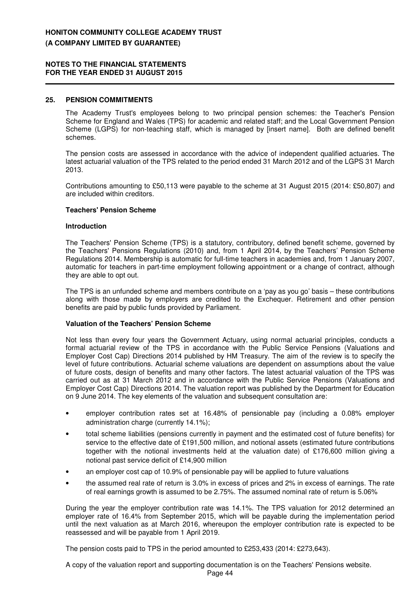## **25. PENSION COMMITMENTS**

The Academy Trust's employees belong to two principal pension schemes: the Teacher's Pension Scheme for England and Wales (TPS) for academic and related staff; and the Local Government Pension Scheme (LGPS) for non-teaching staff, which is managed by [insert name]. Both are defined benefit schemes.

The pension costs are assessed in accordance with the advice of independent qualified actuaries. The latest actuarial valuation of the TPS related to the period ended 31 March 2012 and of the LGPS 31 March 2013.

Contributions amounting to £50,113 were payable to the scheme at 31 August 2015 (2014: £50,807) and are included within creditors.

#### **Teachers' Pension Scheme**

#### **Introduction**

The Teachers' Pension Scheme (TPS) is a statutory, contributory, defined benefit scheme, governed by the Teachers' Pensions Regulations (2010) and, from 1 April 2014, by the Teachers' Pension Scheme Regulations 2014. Membership is automatic for full-time teachers in academies and, from 1 January 2007, automatic for teachers in part-time employment following appointment or a change of contract, although they are able to opt out.

The TPS is an unfunded scheme and members contribute on a 'pay as you go' basis – these contributions along with those made by employers are credited to the Exchequer. Retirement and other pension benefits are paid by public funds provided by Parliament.

#### **Valuation of the Teachers' Pension Scheme**

Not less than every four years the Government Actuary, using normal actuarial principles, conducts a formal actuarial review of the TPS in accordance with the Public Service Pensions (Valuations and Employer Cost Cap) Directions 2014 published by HM Treasury. The aim of the review is to specify the level of future contributions. Actuarial scheme valuations are dependent on assumptions about the value of future costs, design of benefits and many other factors. The latest actuarial valuation of the TPS was carried out as at 31 March 2012 and in accordance with the Public Service Pensions (Valuations and Employer Cost Cap) Directions 2014. The valuation report was published by the Department for Education on 9 June 2014. The key elements of the valuation and subsequent consultation are:

- employer contribution rates set at 16.48% of pensionable pay (including a 0.08% employer administration charge (currently 14.1%);
- total scheme liabilities (pensions currently in payment and the estimated cost of future benefits) for service to the effective date of £191,500 million, and notional assets (estimated future contributions together with the notional investments held at the valuation date) of £176,600 million giving a notional past service deficit of £14,900 million
- an employer cost cap of 10.9% of pensionable pay will be applied to future valuations
- the assumed real rate of return is 3.0% in excess of prices and 2% in excess of earnings. The rate of real earnings growth is assumed to be 2.75%. The assumed nominal rate of return is 5.06%

During the year the employer contribution rate was 14.1%. The TPS valuation for 2012 determined an employer rate of 16.4% from September 2015, which will be payable during the implementation period until the next valuation as at March 2016, whereupon the employer contribution rate is expected to be reassessed and will be payable from 1 April 2019.

The pension costs paid to TPS in the period amounted to £253,433 (2014: £273,643).

A copy of the valuation report and supporting documentation is on the Teachers' Pensions website.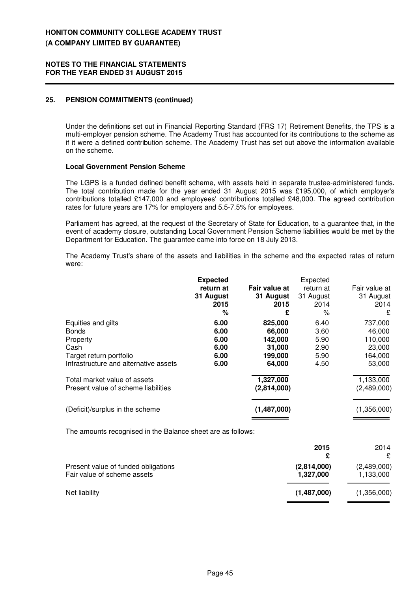## **25. PENSION COMMITMENTS (continued)**

Under the definitions set out in Financial Reporting Standard (FRS 17) Retirement Benefits, the TPS is a multi-employer pension scheme. The Academy Trust has accounted for its contributions to the scheme as if it were a defined contribution scheme. The Academy Trust has set out above the information available on the scheme.

## **Local Government Pension Scheme**

The LGPS is a funded defined benefit scheme, with assets held in separate trustee-administered funds. The total contribution made for the year ended 31 August 2015 was £195,000, of which employer's contributions totalled £147,000 and employees' contributions totalled £48,000. The agreed contribution rates for future years are 17% for employers and 5.5-7.5% for employees.

Parliament has agreed, at the request of the Secretary of State for Education, to a guarantee that, in the event of academy closure, outstanding Local Government Pension Scheme liabilities would be met by the Department for Education. The guarantee came into force on 18 July 2013.

The Academy Trust's share of the assets and liabilities in the scheme and the expected rates of return were:

|                                                                                                                            | <b>Expected</b><br>return at<br>31 August<br>2015<br>% | Fair value at<br>31 August<br>2015<br>£                     | Expected<br>return at<br>31 August<br>2014<br>% | Fair value at<br>31 August<br>2014<br>£                     |
|----------------------------------------------------------------------------------------------------------------------------|--------------------------------------------------------|-------------------------------------------------------------|-------------------------------------------------|-------------------------------------------------------------|
| Equities and gilts<br><b>Bonds</b><br>Property<br>Cash<br>Target return portfolio<br>Infrastructure and alternative assets | 6.00<br>6.00<br>6.00<br>6.00<br>6.00<br>6.00           | 825,000<br>66,000<br>142,000<br>31,000<br>199,000<br>64,000 | 6.40<br>3.60<br>5.90<br>2.90<br>5.90<br>4.50    | 737,000<br>46,000<br>110,000<br>23,000<br>164,000<br>53,000 |
| Total market value of assets<br>Present value of scheme liabilities                                                        |                                                        | 1,327,000<br>(2,814,000)                                    |                                                 | 1,133,000<br>(2,489,000)                                    |
| (Deficit)/surplus in the scheme                                                                                            |                                                        | (1,487,000)                                                 |                                                 | (1,356,000)                                                 |

The amounts recognised in the Balance sheet are as follows:

|                                                                    | 2015<br>£                | 2014<br>£                |
|--------------------------------------------------------------------|--------------------------|--------------------------|
| Present value of funded obligations<br>Fair value of scheme assets | (2,814,000)<br>1,327,000 | (2,489,000)<br>1,133,000 |
| Net liability                                                      | (1,487,000)              | (1,356,000)              |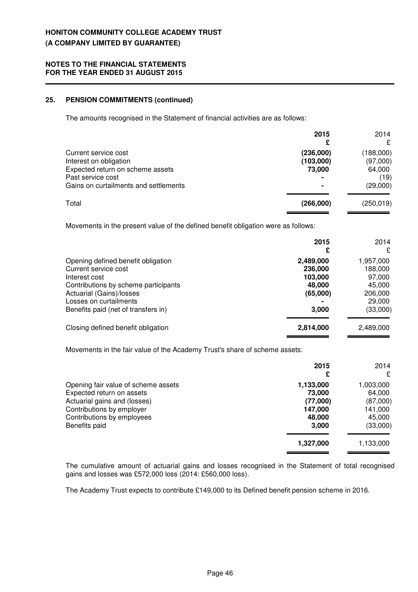# **25. PENSION COMMITMENTS (continued)**

The amounts recognised in the Statement of financial activities are as follows:

|                                                                                                                                                  | 2015                                  | 2014<br>£                                           |
|--------------------------------------------------------------------------------------------------------------------------------------------------|---------------------------------------|-----------------------------------------------------|
| Current service cost<br>Interest on obligation<br>Expected return on scheme assets<br>Past service cost<br>Gains on curtailments and settlements | (236,000)<br>(103,000)<br>73,000<br>- | (188,000)<br>(97,000)<br>64,000<br>(19)<br>(29,000) |
| Total                                                                                                                                            | (266,000)                             | (250, 019)                                          |

Movements in the present value of the defined benefit obligation were as follows:

|                                      | 2015<br>£ | 2014<br>£ |
|--------------------------------------|-----------|-----------|
| Opening defined benefit obligation   | 2,489,000 | 1,957,000 |
| Current service cost                 | 236,000   | 188,000   |
| Interest cost                        | 103,000   | 97,000    |
| Contributions by scheme participants | 48,000    | 45,000    |
| Actuarial (Gains)/losses             | (65,000)  | 206,000   |
| Losses on curtailments               |           | 29,000    |
| Benefits paid (net of transfers in)  | 3,000     | (33,000)  |
| Closing defined benefit obligation   | 2,814,000 | 2,489,000 |

Movements in the fair value of the Academy Trust's share of scheme assets:

|                                                                                                                                                                              | 2015<br>£                                                     | 2014<br>£                                                        |
|------------------------------------------------------------------------------------------------------------------------------------------------------------------------------|---------------------------------------------------------------|------------------------------------------------------------------|
| Opening fair value of scheme assets<br>Expected return on assets<br>Actuarial gains and (losses)<br>Contributions by employer<br>Contributions by employees<br>Benefits paid | 1,133,000<br>73,000<br>(77,000)<br>147,000<br>48,000<br>3,000 | 1,003,000<br>64,000<br>(87,000)<br>141,000<br>45,000<br>(33,000) |
|                                                                                                                                                                              | 1,327,000                                                     | 1,133,000                                                        |

The cumulative amount of actuarial gains and losses recognised in the Statement of total recognised gains and losses was £572,000 loss (2014: £560,000 loss).

The Academy Trust expects to contribute £149,000 to its Defined benefit pension scheme in 2016.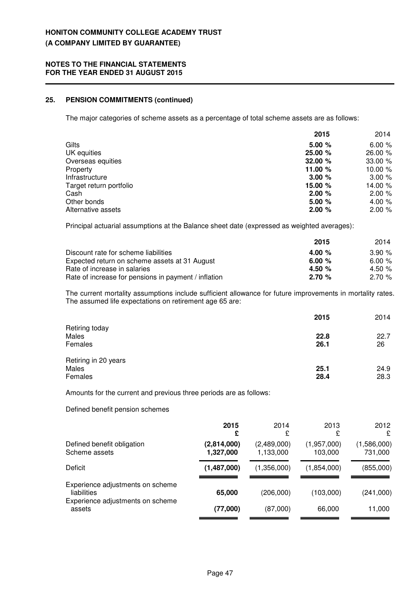# **25. PENSION COMMITMENTS (continued)**

The major categories of scheme assets as a percentage of total scheme assets are as follows:

|                         | 2015    | 2014     |
|-------------------------|---------|----------|
| Gilts                   | 5.00%   | 6.00%    |
| UK equities             | 25.00 % | 26.00 %  |
| Overseas equities       | 32.00 % | 33.00 %  |
| Property                | 11.00 % | 10.00 %  |
| Infrastructure          | 3.00%   | 3.00%    |
| Target return portfolio | 15.00 % | 14.00 %  |
| Cash                    | 2.00%   | 2.00 %   |
| Other bonds             | 5.00%   | 4.00 $%$ |
| Alternative assets      | 2.00%   | 2.00%    |

Principal actuarial assumptions at the Balance sheet date (expressed as weighted averages):

|                                                      | 2015     | 2014     |
|------------------------------------------------------|----------|----------|
| Discount rate for scheme liabilities                 | 4.00 $%$ | 3.90%    |
| Expected return on scheme assets at 31 August        | 6.00 $%$ | 6.00%    |
| Rate of increase in salaries                         | 4.50 $%$ | 4.50 $%$ |
| Rate of increase for pensions in payment / inflation | 2.70%    | 2.70%    |

The current mortality assumptions include sufficient allowance for future improvements in mortality rates. The assumed life expectations on retirement age 65 are:

|                                          | 2015         | 2014         |
|------------------------------------------|--------------|--------------|
| Retiring today<br>Males<br>Females       | 22.8<br>26.1 | 22.7<br>26   |
| Retiring in 20 years<br>Males<br>Females | 25.1<br>28.4 | 24.9<br>28.3 |

Amounts for the current and previous three periods are as follows:

Defined benefit pension schemes

| 2015                     | 2014<br>£                | 2013<br>£              | 2012<br>£              |
|--------------------------|--------------------------|------------------------|------------------------|
| (2,814,000)<br>1,327,000 | (2,489,000)<br>1,133,000 | (1,957,000)<br>103,000 | (1,586,000)<br>731,000 |
| (1,487,000)              | (1,356,000)              | (1,854,000)            | (855,000)              |
| 65,000                   | (206,000)                | (103,000)              | (241,000)              |
| (77,000)                 | (87,000)                 | 66,000                 | 11,000                 |
|                          |                          |                        |                        |